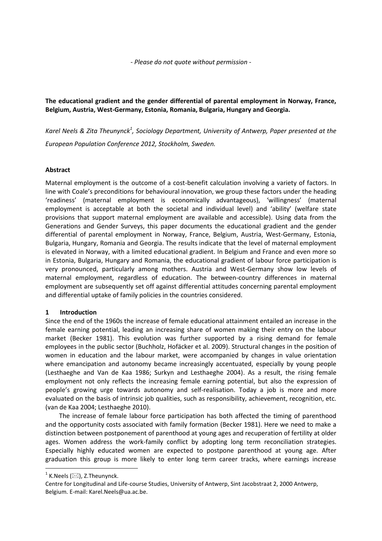*- Please do not quote without permission -*

**The educational gradient and the gender differential of parental employment in Norway, France, Belgium, Austria, West-Germany, Estonia, Romania, Bulgaria, Hungary and Georgia.**

*Karel Neels & Zita Theunynck<sup>1</sup> , Sociology Department, University of Antwerp, Paper presented at the European Population Conference 2012, Stockholm, Sweden.*

# **Abstract**

Maternal employment is the outcome of a cost-benefit calculation involving a variety of factors. In line with Coale's preconditions for behavioural innovation, we group these factors under the heading 'readiness' (maternal employment is economically advantageous), 'willingness' (maternal employment is acceptable at both the societal and individual level) and 'ability' (welfare state provisions that support maternal employment are available and accessible). Using data from the Generations and Gender Surveys, this paper documents the educational gradient and the gender differential of parental employment in Norway, France, Belgium, Austria, West-Germany, Estonia, Bulgaria, Hungary, Romania and Georgia. The results indicate that the level of maternal employment is elevated in Norway, with a limited educational gradient. In Belgium and France and even more so in Estonia, Bulgaria, Hungary and Romania, the educational gradient of labour force participation is very pronounced, particularly among mothers. Austria and West-Germany show low levels of maternal employment, regardless of education. The between-country differences in maternal employment are subsequently set off against differential attitudes concerning parental employment and differential uptake of family policies in the countries considered.

# **1 Introduction**

Since the end of the 1960s the increase of female educational attainment entailed an increase in the female earning potential, leading an increasing share of women making their entry on the labour market (Becker 1981). This evolution was further supported by a rising demand for female employees in the public sector (Buchholz, Hofäcker et al. 2009). Structural changes in the position of women in education and the labour market, were accompanied by changes in value orientation where emancipation and autonomy became increasingly accentuated, especially by young people (Lesthaeghe and Van de Kaa 1986; Surkyn and Lesthaeghe 2004). As a result, the rising female employment not only reflects the increasing female earning potential, but also the expression of people's growing urge towards autonomy and self-realisation. Today a job is more and more evaluated on the basis of intrinsic job qualities, such as responsibility, achievement, recognition, etc. (van de Kaa 2004; Lesthaeghe 2010).

The increase of female labour force participation has both affected the timing of parenthood and the opportunity costs associated with family formation (Becker 1981). Here we need to make a distinction between postponement of parenthood at young ages and recuperation of fertility at older ages. Women address the work-family conflict by adopting long term reconciliation strategies. Especially highly educated women are expected to postpone parenthood at young age. After graduation this group is more likely to enter long term career tracks, where earnings increase

**.** 

 $^1$  K.Neels ( $\boxtimes$ ), Z.Theunynck.

Centre for Longitudinal and Life-course Studies, University of Antwerp, Sint Jacobstraat 2, 2000 Antwerp, Belgium. E-mail: Karel.Neels@ua.ac.be.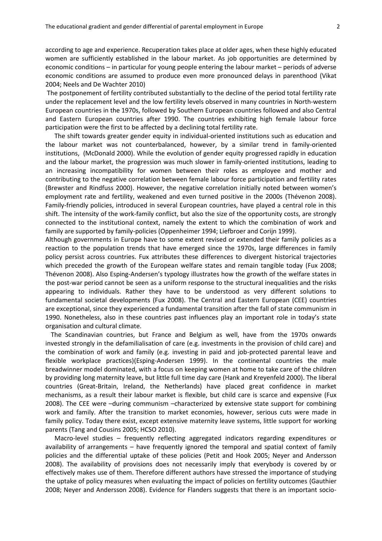according to age and experience. Recuperation takes place at older ages, when these highly educated women are sufficiently established in the labour market. As job opportunities are determined by economic conditions – in particular for young people entering the labour market – periods of adverse economic conditions are assumed to produce even more pronounced delays in parenthood (Vikat 2004; Neels and De Wachter 2010)

The postponement of fertility contributed substantially to the decline of the period total fertility rate under the replacement level and the low fertility levels observed in many countries in North-western European countries in the 1970s, followed by Southern European countries followed and also Central and Eastern European countries after 1990. The countries exhibiting high female labour force participation were the first to be affected by a declining total fertility rate.

The shift towards greater gender equity in individual-oriented institutions such as education and the labour market was not counterbalanced, however, by a similar trend in family-oriented institutions, (McDonald 2000). While the evolution of gender equity progressed rapidly in education and the labour market, the progression was much slower in family-oriented institutions, leading to an increasing incompatibility for women between their roles as employee and mother and contributing to the negative correlation between female labour force participation and fertility rates (Brewster and Rindfuss 2000). However, the negative correlation initially noted between women's employment rate and fertility, weakened and even turned positive in the 2000s (Thévenon 2008). Family-friendly policies, introduced in several European countries, have played a central role in this shift. The intensity of the work-family conflict, but also the size of the opportunity costs, are strongly connected to the institutional context, namely the extent to which the combination of work and family are supported by family-policies (Oppenheimer 1994; Liefbroer and Corijn 1999).

Although governments in Europe have to some extent revised or extended their family policies as a reaction to the population trends that have emerged since the 1970s, large differences in family policy persist across countries. Fux attributes these differences to divergent historical trajectories which preceded the growth of the European welfare states and remain tangible today (Fux 2008; Thévenon 2008). Also Esping-Andersen's typology illustrates how the growth of the welfare states in the post-war period cannot be seen as a uniform response to the structural inequalities and the risks appearing to individuals. Rather they have to be understood as very different solutions to fundamental societal developments (Fux 2008). The Central and Eastern European (CEE) countries are exceptional, since they experienced a fundamental transition after the fall of state communism in 1990. Nonetheless, also in these countries past influences play an important role in today's state organisation and cultural climate.

The Scandinavian countries, but France and Belgium as well, have from the 1970s onwards invested strongly in the defamilialisation of care (e.g. investments in the provision of child care) and the combination of work and family (e.g. investing in paid and job-protected parental leave and flexible workplace practices)(Esping-Andersen 1999). In the continental countries the male breadwinner model dominated, with a focus on keeping women at home to take care of the children by providing long maternity leave, but little full time day care (Hank and Kreyenfeld 2000). The liberal countries (Great-Britain, Ireland, the Netherlands) have placed great confidence in market mechanisms, as a result their labour market is flexible, but child care is scarce and expensive (Fux 2008). The CEE were –during communism –characterized by extensive state support for combining work and family. After the transition to market economies, however, serious cuts were made in family policy. Today there exist, except extensive maternity leave systems, little support for working parents (Tang and Cousins 2005; HCSO 2010).

Macro-level studies – frequently reflecting aggregated indicators regarding expenditures or availability of arrangements – have frequently ignored the temporal and spatial context of family policies and the differential uptake of these policies (Petit and Hook 2005; Neyer and Andersson 2008). The availability of provisions does not necessarily imply that everybody is covered by or effectively makes use of them. Therefore different authors have stressed the importance of studying the uptake of policy measures when evaluating the impact of policies on fertility outcomes (Gauthier 2008; Neyer and Andersson 2008). Evidence for Flanders suggests that there is an important socio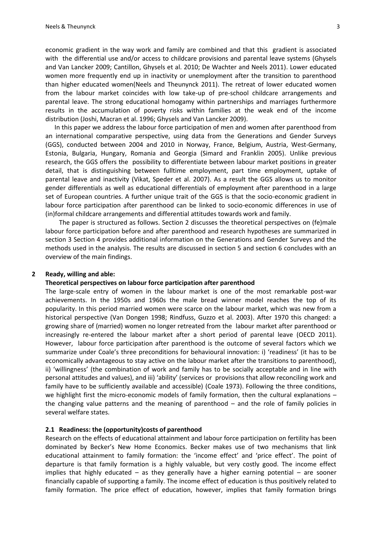economic gradient in the way work and family are combined and that this gradient is associated with the differential use and/or access to childcare provisions and parental leave systems (Ghysels and Van Lancker 2009; Cantillon, Ghysels et al. 2010; De Wachter and Neels 2011). Lower educated women more frequently end up in inactivity or unemployment after the transition to parenthood than higher educated women(Neels and Theunynck 2011). The retreat of lower educated women from the labour market coincides with low take-up of pre-school childcare arrangements and parental leave. The strong educational homogamy within partnerships and marriages furthermore results in the accumulation of poverty risks within families at the weak end of the income distribution (Joshi, Macran et al. 1996; Ghysels and Van Lancker 2009).

In this paper we address the labour force participation of men and women after parenthood from an international comparative perspective, using data from the Generations and Gender Surveys (GGS), conducted between 2004 and 2010 in Norway, France, Belgium, Austria, West-Germany, Estonia, Bulgaria, Hungary, Romania and Georgia (Simard and Franklin 2005). Unlike previous research, the GGS offers the possibility to differentiate between labour market positions in greater detail, that is distinguishing between fulltime employment, part time employment, uptake of parental leave and inactivity (Vikat, Speder et al. 2007). As a result the GGS allows us to monitor gender differentials as well as educational differentials of employment after parenthood in a large set of European countries. A further unique trait of the GGS is that the socio-economic gradient in labour force participation after parenthood can be linked to socio-economic differences in use of (in)formal childcare arrangements and differential attitudes towards work and family.

The paper is structured as follows. Section 2 discusses the theoretical perspectives on (fe)male labour force participation before and after parenthood and research hypotheses are summarized in section 3 Section 4 provides additional information on the Generations and Gender Surveys and the methods used in the analysis. The results are discussed in section 5 and section 6 concludes with an overview of the main findings.

### **2 Ready, willing and able:**

#### **Theoretical perspectives on labour force participation after parenthood**

The large-scale entry of women in the labour market is one of the most remarkable post-war achievements. In the 1950s and 1960s the male bread winner model reaches the top of its popularity. In this period married women were scarce on the labour market, which was new from a historical perspective (Van Dongen 1998; Rindfuss, Guzzo et al. 2003). After 1970 this changed: a growing share of (married) women no longer retreated from the labour market after parenthood or increasingly re-entered the labour market after a short period of parental leave (OECD 2011). However, labour force participation after parenthood is the outcome of several factors which we summarize under Coale's three preconditions for behavioural innovation: i) 'readiness' (it has to be economically advantageous to stay active on the labour market after the transitions to parenthood), ii) 'willingness' (the combination of work and family has to be socially acceptable and in line with personal attitudes and values), and iii) 'ability' (services or provisions that allow reconciling work and family have to be sufficiently available and accessible) (Coale 1973). Following the three conditions, we highlight first the micro-economic models of family formation, then the cultural explanations – the changing value patterns and the meaning of parenthood – and the role of family policies in several welfare states.

#### **2.1 Readiness: the (opportunity)costs of parenthood**

Research on the effects of educational attainment and labour force participation on fertility has been dominated by Becker's New Home Economics. Becker makes use of two mechanisms that link educational attainment to family formation: the 'income effect' and 'price effect'. The point of departure is that family formation is a highly valuable, but very costly good. The income effect implies that highly educated – as they generally have a higher earning potential – are sooner financially capable of supporting a family. The income effect of education is thus positively related to family formation. The price effect of education, however, implies that family formation brings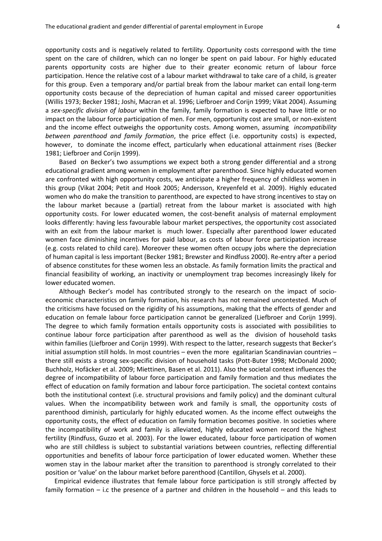opportunity costs and is negatively related to fertility. Opportunity costs correspond with the time spent on the care of children, which can no longer be spent on paid labour. For highly educated parents opportunity costs are higher due to their greater economic return of labour force participation. Hence the relative cost of a labour market withdrawal to take care of a child, is greater for this group. Even a temporary and/or partial break from the labour market can entail long-term opportunity costs because of the depreciation of human capital and missed career opportunities (Willis 1973; Becker 1981; Joshi, Macran et al. 1996; Liefbroer and Corijn 1999; Vikat 2004). Assuming a *sex-specific division of labour* within the family, family formation is expected to have little or no impact on the labour force participation of men. For men, opportunity cost are small, or non-existent and the income effect outweighs the opportunity costs. Among women, assuming *incompatibility between parenthood and family formation*, the price effect (i.e. opportunity costs) is expected, however, to dominate the income effect, particularly when educational attainment rises (Becker 1981; Liefbroer and Corijn 1999).

Based on Becker's two assumptions we expect both a strong gender differential and a strong educational gradient among women in employment after parenthood. Since highly educated women are confronted with high opportunity costs, we anticipate a higher frequency of childless women in this group (Vikat 2004; Petit and Hook 2005; Andersson, Kreyenfeld et al. 2009). Highly educated women who do make the transition to parenthood, are expected to have strong incentives to stay on the labour market because a (partial) retreat from the labour market is associated with high opportunity costs. For lower educated women, the cost-benefit analysis of maternal employment looks differently: having less favourable labour market perspectives, the opportunity cost associated with an exit from the labour market is much lower. Especially after parenthood lower educated women face diminishing incentives for paid labour, as costs of labour force participation increase (e.g. costs related to child care). Moreover these women often occupy jobs where the depreciation of human capital is less important (Becker 1981; Brewster and Rindfuss 2000). Re-entry after a period of absence constitutes for these women less an obstacle. As family formation limits the practical and financial feasibility of working, an inactivity or unemployment trap becomes increasingly likely for lower educated women.

Although Becker's model has contributed strongly to the research on the impact of socioeconomic characteristics on family formation, his research has not remained uncontested. Much of the criticisms have focused on the rigidity of his assumptions, making that the effects of gender and education on female labour force participation cannot be generalized (Liefbroer and Corijn 1999). The degree to which family formation entails opportunity costs is associated with possibilities to continue labour force participation after parenthood as well as the division of household tasks within families (Liefbroer and Corijn 1999). With respect to the latter, research suggests that Becker's initial assumption still holds. In most countries – even the more egalitarian Scandinavian countries – there still exists a strong sex-specific division of household tasks (Pott-Buter 1998; McDonald 2000; Buchholz, Hofäcker et al. 2009; Miettinen, Basen et al. 2011). Also the societal context influences the degree of incompatibility of labour force participation and family formation and thus mediates the effect of education on family formation and labour force participation. The societal context contains both the institutional context (i.e. structural provisions and family policy) and the dominant cultural values. When the incompatibility between work and family is small, the opportunity costs of parenthood diminish, particularly for highly educated women. As the income effect outweighs the opportunity costs, the effect of education on family formation becomes positive. In societies where the incompatibility of work and family is alleviated, highly educated women record the highest fertility (Rindfuss, Guzzo et al. 2003). For the lower educated, labour force participation of women who are still childless is subject to substantial variations between countries, reflecting differential opportunities and benefits of labour force participation of lower educated women. Whether these women stay in the labour market after the transition to parenthood is strongly correlated to their position or 'value' on the labour market before parenthood (Cantillon, Ghysels et al. 2000).

Empirical evidence illustrates that female labour force participation is still strongly affected by family formation – i.c the presence of a partner and children in the household – and this leads to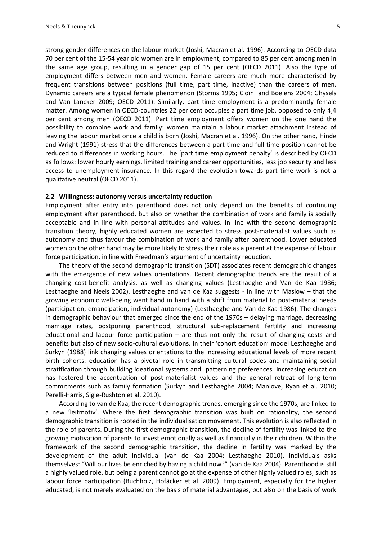strong gender differences on the labour market (Joshi, Macran et al. 1996). According to OECD data 70 per cent of the 15-54 year old women are in employment, compared to 85 per cent among men in the same age group, resulting in a gender gap of 15 per cent (OECD 2011). Also the type of employment differs between men and women. Female careers are much more characterised by frequent transitions between positions (full time, part time, inactive) than the careers of men. Dynamic careers are a typical female phenomenon (Storms 1995; Cloïn and Boelens 2004; Ghysels and Van Lancker 2009; OECD 2011). Similarly, part time employment is a predominantly female matter. Among women in OECD-countries 22 per cent occupies a part time job, opposed to only 4,4 per cent among men (OECD 2011). Part time employment offers women on the one hand the possibility to combine work and family: women maintain a labour market attachment instead of leaving the labour market once a child is born (Joshi, Macran et al. 1996). On the other hand, Hinde and Wright (1991) stress that the differences between a part time and full time position cannot be reduced to differences in working hours. The 'part time employment penalty' is described by OECD as follows: lower hourly earnings, limited training and career opportunities, less job security and less access to unemployment insurance. In this regard the evolution towards part time work is not a qualitative neutral (OECD 2011).

### **2.2 Willingness: autonomy versus uncertainty reduction**

Employment after entry into parenthood does not only depend on the benefits of continuing employment after parenthood, but also on whether the combination of work and family is socially acceptable and in line with personal attitudes and values. In line with the second demographic transition theory, highly educated women are expected to stress post-materialist values such as autonomy and thus favour the combination of work and family after parenthood. Lower educated women on the other hand may be more likely to stress their role as a parent at the expense of labour force participation, in line with Freedman's argument of uncertainty reduction.

The theory of the second demographic transition (SDT) associates recent demographic changes with the emergence of new values orientations. Recent demographic trends are the result of a changing cost-benefit analysis, as well as changing values (Lesthaeghe and Van de Kaa 1986; Lesthaeghe and Neels 2002). Lesthaeghe and van de Kaa suggests - in line with Maslow – that the growing economic well-being went hand in hand with a shift from material to post-material needs (participation, emancipation, individual autonomy) (Lesthaeghe and Van de Kaa 1986). The changes in demographic behaviour that emerged since the end of the 1970s – delaying marriage, decreasing marriage rates, postponing parenthood, structural sub-replacement fertility and increasing educational and labour force participation  $-$  are thus not only the result of changing costs and benefits but also of new socio-cultural evolutions. In their 'cohort education' model Lesthaeghe and Surkyn (1988) link changing values orientations to the increasing educational levels of more recent birth cohorts: education has a pivotal role in transmitting cultural codes and maintaining social stratification through building ideational systems and patterning preferences. Increasing education has fostered the accentuation of post-materialist values and the general retreat of long-term commitments such as family formation (Surkyn and Lesthaeghe 2004; Manlove, Ryan et al. 2010; Perelli-Harris, Sigle-Rushton et al. 2010).

According to van de Kaa, the recent demographic trends, emerging since the 1970s, are linked to a new 'leitmotiv'. Where the first demographic transition was built on rationality, the second demographic transition is rooted in the individualisation movement. This evolution is also reflected in the role of parents. During the first demographic transition, the decline of fertility was linked to the growing motivation of parents to invest emotionally as well as financially in their children. Within the framework of the second demographic transition, the decline in fertility was marked by the development of the adult individual (van de Kaa 2004; Lesthaeghe 2010). Individuals asks themselves: "Will our lives be enriched by having a child now?" (van de Kaa 2004). Parenthood is still a highly valued role, but being a parent cannot go at the expense of other highly valued roles, such as labour force participation (Buchholz, Hofäcker et al. 2009). Employment, especially for the higher educated, is not merely evaluated on the basis of material advantages, but also on the basis of work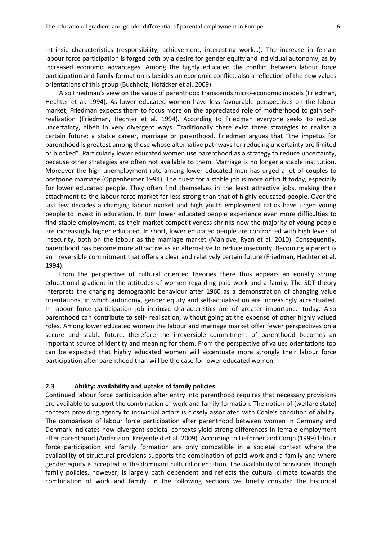intrinsic characteristics (responsibility, achievement, interesting work…). The increase in female labour force participation is forged both by a desire for gender equity and individual autonomy, as by increased economic advantages. Among the highly educated the conflict between labour force participation and family formation is besides an economic conflict, also a reflection of the new values orientations of this group (Buchholz, Hofäcker et al. 2009).

Also Friedman's view on the value of parenthood transcends micro-economic models (Friedman, Hechter et al. 1994). As lower educated women have less favourable perspectives on the labour market, Friedman expects them to focus more on the appreciated role of motherhood to gain selfrealization (Friedman, Hechter et al. 1994). According to Friedman everyone seeks to reduce uncertainty, albeit in very divergent ways. Traditionally there exist three strategies to realise a certain future: a stable career, marriage or parenthood. Friedman argues that "the impetus for parenthood is greatest among those whose alternative pathways for reducing uncertainty are limited or blocked". Particularly lower educated women use parenthood as a strategy to reduce uncertainty, because other strategies are often not available to them. Marriage is no longer a stable institution. Moreover the high unemployment rate among lower educated men has urged a lot of couples to postpone marriage (Oppenheimer 1994). The quest for a stable job is more difficult today, especially for lower educated people. They often find themselves in the least attractive jobs, making their attachment to the labour force market far less strong than that of highly educated people. Over the last few decades a changing labour market and high youth employment ratios have urged young people to invest in education. In turn lower educated people experience even more difficulties to find stable employment, as their market competitiveness shrinks now the majority of young people are increasingly higher educated. In short, lower educated people are confronted with high levels of insecurity, both on the labour as the marriage market (Manlove, Ryan et al. 2010). Consequently, parenthood has become more attractive as an alternative to reduce insecurity. Becoming a parent is an irreversible commitment that offers a clear and relatively certain future (Friedman, Hechter et al. 1994).

From the perspective of cultural oriented theories there thus appears an equally strong educational gradient in the attitudes of women regarding paid work and a family. The SDT-theory interprets the changing demographic behaviour after 1960 as a demonstration of changing value orientations, in which autonomy, gender equity and self-actualisation are increasingly accentuated. In labour force participation job intrinsic characteristics are of greater importance today. Also parenthood can contribute to self- realisation, without going at the expense of other highly valued roles. Among lower educated women the labour and marriage market offer fewer perspectives on a secure and stable future, therefore the irreversible commitment of parenthood becomes an important source of identity and meaning for them. From the perspective of values orientations too can be expected that highly educated women will accentuate more strongly their labour force participation after parenthood than will be the case for lower educated women.

### **2.3 Ability: availability and uptake of family policies**

Continued labour force participation after entry into parenthood requires that necessary provisions are available to support the combination of work and family formation. The notion of (welfare state) contexts providing agency to individual actors is closely associated with Coale's condition of ability. The comparison of labour force participation after parenthood between women in Germany and Denmark indicates how divergent societal contexts yield strong differences in female employment after parenthood (Andersson, Kreyenfeld et al. 2009). According to Liefbroer and Corijn (1999) labour force participation and family formation are only compatible in a societal context where the availability of structural provisions supports the combination of paid work and a family and where gender equity is accepted as the dominant cultural orientation. The availability of provisions through family policies, however, is largely path dependent and reflects the cultural climate towards the combination of work and family. In the following sections we briefly consider the historical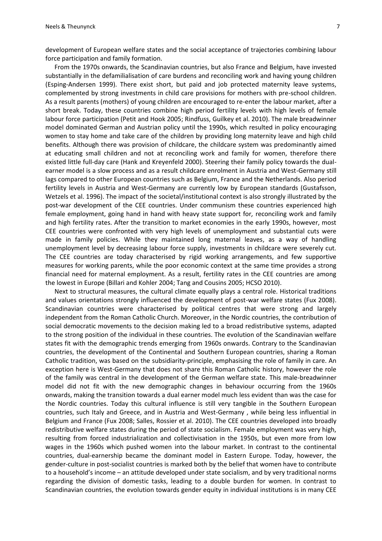development of European welfare states and the social acceptance of trajectories combining labour force participation and family formation.

From the 1970s onwards, the Scandinavian countries, but also France and Belgium, have invested substantially in the defamilialisation of care burdens and reconciling work and having young children (Esping-Andersen 1999). There exist short, but paid and job protected maternity leave systems, complemented by strong investments in child care provisions for mothers with pre-school children. As a result parents (mothers) of young children are encouraged to re-enter the labour market, after a short break. Today, these countries combine high period fertility levels with high levels of female labour force participation (Petit and Hook 2005; Rindfuss, Guilkey et al. 2010). The male breadwinner model dominated German and Austrian policy until the 1990s, which resulted in policy encouraging women to stay home and take care of the children by providing long maternity leave and high child benefits. Although there was provision of childcare, the childcare system was predominantly aimed at educating small children and not at reconciling work and family for women, therefore there existed little full-day care (Hank and Kreyenfeld 2000). Steering their family policy towards the dualearner model is a slow process and as a result childcare enrolment in Austria and West-Germany still lags compared to other European countries such as Belgium, France and the Netherlands. Also period fertility levels in Austria and West-Germany are currently low by European standards (Gustafsson, Wetzels et al. 1996). The impact of the societal/institutional context is also strongly illustrated by the post-war development of the CEE countries. Under communism these countries experienced high female employment, going hand in hand with heavy state support for*,* reconciling work and family and high fertility rates. After the transition to market economies in the early 1990s, however, most CEE countries were confronted with very high levels of unemployment and substantial cuts were made in family policies. While they maintained long maternal leaves, as a way of handling unemployment level by decreasing labour force supply, investments in childcare were severely cut. The CEE countries are today characterised by rigid working arrangements, and few supportive measures for working parents, while the poor economic context at the same time provides a strong financial need for maternal employment. As a result, fertility rates in the CEE countries are among the lowest in Europe (Billari and Kohler 2004; Tang and Cousins 2005; HCSO 2010).

Next to structural measures, the cultural climate equally plays a central role. Historical traditions and values orientations strongly influenced the development of post-war welfare states (Fux 2008). Scandinavian countries were characterised by political centres that were strong and largely independent from the Roman Catholic Church. Moreover, in the Nordic countries, the contribution of social democratic movements to the decision making led to a broad redistributive systems, adapted to the strong position of the individual in these countries. The evolution of the Scandinavian welfare states fit with the demographic trends emerging from 1960s onwards. Contrary to the Scandinavian countries, the development of the Continental and Southern European countries, sharing a Roman Catholic tradition, was based on the subsidiarity-principle, emphasising the role of family in care. An exception here is West-Germany that does not share this Roman Catholic history, however the role of the family was central in the development of the German welfare state. This male-breadwinner model did not fit with the new demographic changes in behaviour occurring from the 1960s onwards, making the transition towards a dual earner model much less evident than was the case for the Nordic countries. Today this cultural influence is still very tangible in the Southern European countries, such Italy and Greece, and in Austria and West-Germany , while being less influential in Belgium and France (Fux 2008; Salles, Rossier et al. 2010). The CEE countries developed into broadly redistributive welfare states during the period of state socialism. Female employment was very high, resulting from forced industrialization and collectivisation in the 1950s, but even more from low wages in the 1960s which pushed women into the labour market. In contrast to the continental countries, dual-earnership became the dominant model in Eastern Europe. Today, however, the gender-culture in post-socialist countries is marked both by the belief that women have to contribute to a household's income – an attitude developed under state socialism, and by very traditional norms regarding the division of domestic tasks, leading to a double burden for women. In contrast to Scandinavian countries, the evolution towards gender equity in individual institutions is in many CEE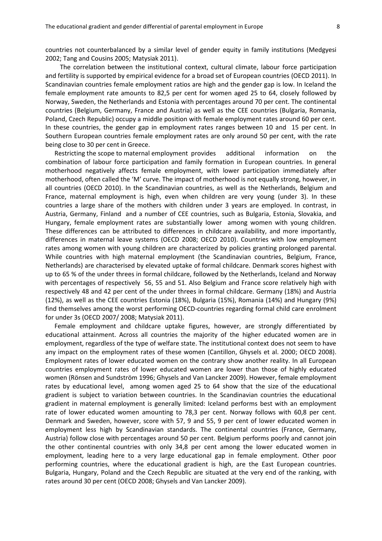countries not counterbalanced by a similar level of gender equity in family institutions (Medgyesi 2002; Tang and Cousins 2005; Matysiak 2011).

The correlation between the institutional context, cultural climate, labour force participation and fertility is supported by empirical evidence for a broad set of European countries (OECD 2011). In Scandinavian countries female employment ratios are high and the gender gap is low. In Iceland the female employment rate amounts to 82,5 per cent for women aged 25 to 64, closely followed by Norway, Sweden, the Netherlands and Estonia with percentages around 70 per cent. The continental countries (Belgium, Germany, France and Austria) as well as the CEE countries (Bulgaria, Romania, Poland, Czech Republic) occupy a middle position with female employment rates around 60 per cent. In these countries, the gender gap in employment rates ranges between 10 and 15 per cent. In Southern European countries female employment rates are only around 50 per cent, with the rate being close to 30 per cent in Greece.

Restricting the scope to maternal employment provides additional information on the combination of labour force participation and family formation in European countries. In general motherhood negatively affects female employment, with lower participation immediately after motherhood, often called the 'M' curve. The impact of motherhood is not equally strong, however, in all countries (OECD 2010). In the Scandinavian countries, as well as the Netherlands, Belgium and France, maternal employment is high, even when children are very young (under 3). In these countries a large share of the mothers with children under 3 years are employed. In contrast, in Austria, Germany, Finland and a number of CEE countries, such as Bulgaria, Estonia, Slovakia, and Hungary, female employment rates are substantially lower among women with young children. These differences can be attributed to differences in childcare availability, and more importantly, differences in maternal leave systems (OECD 2008; OECD 2010). Countries with low employment rates among women with young children are characterized by policies granting prolonged parental. While countries with high maternal employment (the Scandinavian countries, Belgium, France, Netherlands) are characterised by elevated uptake of formal childcare. Denmark scores highest with up to 65 % of the under threes in formal childcare, followed by the Netherlands, Iceland and Norway with percentages of respectively 56, 55 and 51. Also Belgium and France score relatively high with respectively 48 and 42 per cent of the under threes in formal childcare. Germany (18%) and Austria (12%), as well as the CEE countries Estonia (18%), Bulgaria (15%), Romania (14%) and Hungary (9%) find themselves among the worst performing OECD-countries regarding formal child care enrolment for under 3s (OECD 2007/ 2008; Matysiak 2011).

Female employment and childcare uptake figures, however, are strongly differentiated by educational attainment. Across all countries the majority of the higher educated women are in employment, regardless of the type of welfare state. The institutional context does not seem to have any impact on the employment rates of these women (Cantillon, Ghysels et al. 2000; OECD 2008). Employment rates of lower educated women on the contrary show another reality. In all European countries employment rates of lower educated women are lower than those of highly educated women (Rönsen and Sundström 1996; Ghysels and Van Lancker 2009). However, female employment rates by educational level, among women aged 25 to 64 show that the size of the educational gradient is subject to variation between countries. In the Scandinavian countries the educational gradient in maternal employment is generally limited: Iceland performs best with an employment rate of lower educated women amounting to 78,3 per cent. Norway follows with 60,8 per cent. Denmark and Sweden, however, score with 57, 9 and 55, 9 per cent of lower educated women in employment less high by Scandinavian standards. The continental countries (France, Germany, Austria) follow close with percentages around 50 per cent. Belgium performs poorly and cannot join the other continental countries with only 34,8 per cent among the lower educated women in employment, leading here to a very large educational gap in female employment. Other poor performing countries, where the educational gradient is high, are the East European countries. Bulgaria, Hungary, Poland and the Czech Republic are situated at the very end of the ranking, with rates around 30 per cent (OECD 2008; Ghysels and Van Lancker 2009).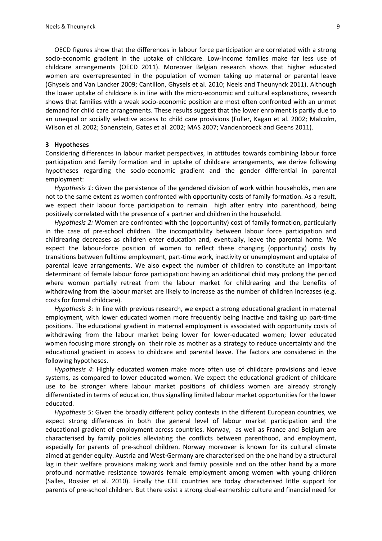OECD figures show that the differences in labour force participation are correlated with a strong socio-economic gradient in the uptake of childcare. Low-income families make far less use of childcare arrangements (OECD 2011). Moreover Belgian research shows that higher educated women are overrepresented in the population of women taking up maternal or parental leave (Ghysels and Van Lancker 2009; Cantillon, Ghysels et al. 2010; Neels and Theunynck 2011). Although the lower uptake of childcare is in line with the micro-economic and cultural explanations, research shows that families with a weak socio-economic position are most often confronted with an unmet demand for child care arrangements. These results suggest that the lower enrolment is partly due to an unequal or socially selective access to child care provisions (Fuller, Kagan et al. 2002; Malcolm, Wilson et al. 2002; Sonenstein, Gates et al. 2002; MAS 2007; Vandenbroeck and Geens 2011).

#### **3 Hypotheses**

Considering differences in labour market perspectives, in attitudes towards combining labour force participation and family formation and in uptake of childcare arrangements, we derive following hypotheses regarding the socio-economic gradient and the gender differential in parental employment:

*Hypothesis 1*: Given the persistence of the gendered division of work within households, men are not to the same extent as women confronted with opportunity costs of family formation. As a result, we expect their labour force participation to remain high after entry into parenthood, being positively correlated with the presence of a partner and children in the household.

*Hypothesis 2:* Women are confronted with the (opportunity) cost of family formation, particularly in the case of pre-school children. The incompatibility between labour force participation and childrearing decreases as children enter education and, eventually, leave the parental home. We expect the labour-force position of women to reflect these changing (opportunity) costs by transitions between fulltime employment, part-time work, inactivity or unemployment and uptake of parental leave arrangements. We also expect the number of children to constitute an important determinant of female labour force participation: having an additional child may prolong the period where women partially retreat from the labour market for childrearing and the benefits of withdrawing from the labour market are likely to increase as the number of children increases (e.g. costs for formal childcare).

*Hypothesis 3*: In line with previous research, we expect a strong educational gradient in maternal employment, with lower educated women more frequently being inactive and taking up part-time positions. The educational gradient in maternal employment is associated with opportunity costs of withdrawing from the labour market being lower for lower-educated women; lower educated women focusing more strongly on their role as mother as a strategy to reduce uncertainty and the educational gradient in access to childcare and parental leave. The factors are considered in the following hypotheses.

*Hypothesis 4*: Highly educated women make more often use of childcare provisions and leave systems, as compared to lower educated women. We expect the educational gradient of childcare use to be stronger where labour market positions of childless women are already strongly differentiated in terms of education, thus signalling limited labour market opportunities for the lower educated.

*Hypothesis 5*: Given the broadly different policy contexts in the different European countries, we expect strong differences in both the general level of labour market participation and the educational gradient of employment across countries. Norway, as well as France and Belgium are characterised by family policies alleviating the conflicts between parenthood, and employment, especially for parents of pre-school children. Norway moreover is known for its cultural climate aimed at gender equity. Austria and West-Germany are characterised on the one hand by a structural lag in their welfare provisions making work and family possible and on the other hand by a more profound normative resistance towards female employment among women with young children (Salles, Rossier et al. 2010). Finally the CEE countries are today characterised little support for parents of pre-school children. But there exist a strong dual-earnership culture and financial need for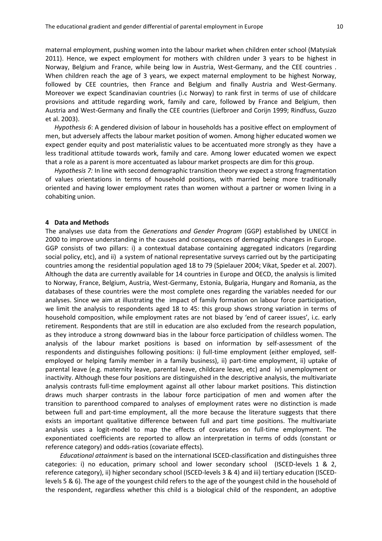maternal employment, pushing women into the labour market when children enter school (Matysiak 2011). Hence, we expect employment for mothers with children under 3 years to be highest in Norway, Belgium and France, while being low in Austria, West-Germany, and the CEE countries . When children reach the age of 3 years, we expect maternal employment to be highest Norway, followed by CEE countries, then France and Belgium and finally Austria and West-Germany. Moreover we expect Scandinavian countries (i.c Norway) to rank first in terms of use of childcare provisions and attitude regarding work, family and care, followed by France and Belgium, then Austria and West-Germany and finally the CEE countries (Liefbroer and Corijn 1999; Rindfuss, Guzzo et al. 2003).

*Hypothesis 6*: A gendered division of labour in households has a positive effect on employment of men, but adversely affects the labour market position of women. Among higher educated women we expect gender equity and post materialistic values to be accentuated more strongly as they have a less traditional attitude towards work, family and care. Among lower educated women we expect that a role as a parent is more accentuated as labour market prospects are dim for this group.

*Hypothesis 7:* In line with second demographic transition theory we expect a strong fragmentation of values orientations in terms of household positions, with married being more traditionally oriented and having lower employment rates than women without a partner or women living in a cohabiting union.

### **4 Data and Methods**

The analyses use data from the *Generations and Gender Program* (GGP) established by UNECE in 2000 to improve understanding in the causes and consequences of demographic changes in Europe. GGP consists of two pillars: i) a contextual database containing aggregated indicators (regarding social policy, etc), and ii) a system of national representative surveys carried out by the participating countries among the residential population aged 18 to 79 (Spielauer 2004; Vikat, Speder et al. 2007). Although the data are currently available for 14 countries in Europe and OECD, the analysis is limited to Norway, France, Belgium, Austria, West-Germany, Estonia, Bulgaria, Hungary and Romania, as the databases of these countries were the most complete ones regarding the variables needed for our analyses. Since we aim at illustrating the impact of family formation on labour force participation, we limit the analysis to respondents aged 18 to 45: this group shows strong variation in terms of household composition, while employment rates are not biased by 'end of career issues', i.c. early retirement. Respondents that are still in education are also excluded from the research population, as they introduce a strong downward bias in the labour force participation of childless women. The analysis of the labour market positions is based on information by self-assessment of the respondents and distinguishes following positions: i) full-time employment (either employed, selfemployed or helping family member in a family business), ii) part-time employment, ii) uptake of parental leave (e.g. maternity leave, parental leave, childcare leave, etc) and iv) unemployment or inactivity. Although these four positions are distinguished in the descriptive analysis, the multivariate analysis contrasts full-time employment against all other labour market positions. This distinction draws much sharper contrasts in the labour force participation of men and women after the transition to parenthood compared to analyses of employment rates were no distinction is made between full and part-time employment, all the more because the literature suggests that there exists an important qualitative difference between full and part time positions. The multivariate analysis uses a logit-model to map the effects of covariates on full-time employment. The exponentiated coefficients are reported to allow an interpretation in terms of odds (constant or reference category) and odds-ratios (covariate effects).

*Educational attainment* is based on the international ISCED-classification and distinguishes three categories: i) no education, primary school and lower secondary school (ISCED-levels 1 & 2, reference category), ii) higher secondary school (ISCED-levels 3 & 4) and iii) tertiary education (ISCEDlevels 5 & 6). The age of the youngest child refers to the age of the youngest child in the household of the respondent, regardless whether this child is a biological child of the respondent, an adoptive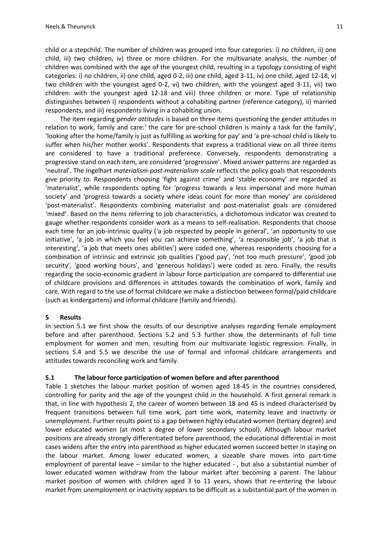child or a stepchild. The number of children was grouped into four categories: i) no children, ii) one child, iii) two children, iv) three or more children. For the multivariate analysis, the number of children was combined with the age of the youngest child, resulting in a typology consisting of eight categories: i) no children, ii) one child, aged 0-2, iii) one child, aged 3-11, iv) one child, aged 12-18, v) two children with the youngest aged 0-2, vi) two children, with the youngest aged 3-11, vii) two children: with the youngest aged 12-18 and viii) three children or more. Type of relationship distinguishes between i) respondents without a cohabiting partner (reference category), ii) married respondents, and iii) respondents living in a cohabiting union.

The item regarding *gender attitudes* is based on three items questioning the gender attitudes in relation to work, family and care:' the care for pre-school children is mainly a task for the family', 'looking after the home/family is just as fulfilling as working for pay' and 'a pre-school child is likely to suffer when his/her mother works'. Respondents that express a traditional view on all three items are considered to have a traditional preference. Conversely, respondents demonstrating a progressive stand on each item, are considered 'progressive'. Mixed answer patterns are regarded as 'neutral'. The Ingelhart *materialism-post-materialism scale* reflects the policy goals that respondents give priority to. Respondents choosing 'fight against crime' and 'stable economy' are regarded as 'materialist', while respondents opting for 'progress towards a less impersonal and more human society' and 'progress towards a society where ideas count for more than money' are considered 'post-materialist'. Respondents combining materialist and post-materialist goals are considered 'mixed'. Based on the items referring to job characteristics, a dichotomous indicator was created to gauge whether respondents consider work as a means to self-realisation. Respondents that choose each time for an job-intrinsic quality ('a job respected by people in general', 'an opportunity to use initiative', 'a job in which you feel you can achieve something', 'a responsible job', 'a job that is interesting', 'a job that meets ones abilities') were coded one, whereas respondents choosing for a combination of intrinsic and extrinsic job qualities ('good pay', 'not too much pressure', 'good job security', 'good working hours', and 'generous holidays') were coded as zero. Finally, the results regarding the socio-economic gradient in labour force participation are compared to differential use of childcare provisions and differences in attitudes towards the combination of work, family and care. With regard to the use of formal childcare we make a distinction between formal/paid childcare (such as kindergartens) and informal childcare (family and friends).

# **5 Results**

In section 5.1 we first show the results of our descriptive analyses regarding female employment before and after parenthood. Sections 5.2 and 5.3 further show the determinants of full time employment for women and men, resulting from our multivariate logistic regression. Finally, in sections 5.4 and 5.5 we describe the use of formal and informal childcare arrangements and attitudes towards reconciling work and family.

# **5.1 The labour force participation of women before and after parenthood**

Table 1 sketches the labour market position of women aged 18-45 in the countries considered, controlling for parity and the age of the youngest child in the household. A first general remark is that, in line with hypothesis 2, the career of women between 18 and 45 is indeed characterised by frequent transitions between full time work, part time work, maternity leave and inactivity or unemployment. Further results point to a gap between highly educated women (tertiary degree) and lower educated women (at most a degree of lower secondary school). Although labour market positions are already strongly differentiated before parenthood, the educational differential in most cases widens after the entry into parenthood as higher educated women succeed better in staying on the labour market. Among lower educated women, a sizeable share moves into part-time employment of parental leave – similar to the higher educated -, but also a substantial number of lower educated women withdraw from the labour market after becoming a parent. The labour market position of women with children aged 3 to 11 years, shows that re-entering the labour market from unemployment or inactivity appears to be difficult as a substantial part of the women in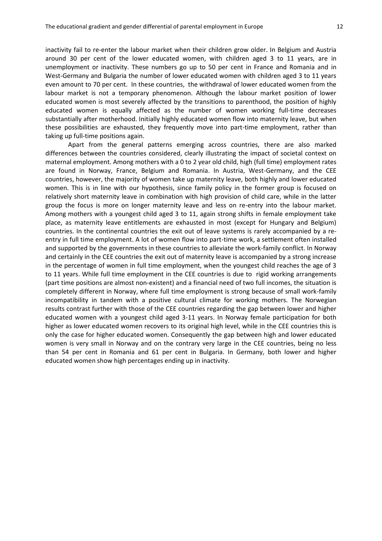inactivity fail to re-enter the labour market when their children grow older. In Belgium and Austria around 30 per cent of the lower educated women, with children aged 3 to 11 years, are in unemployment or inactivity. These numbers go up to 50 per cent in France and Romania and in West-Germany and Bulgaria the number of lower educated women with children aged 3 to 11 years even amount to 70 per cent. In these countries, the withdrawal of lower educated women from the labour market is not a temporary phenomenon. Although the labour market position of lower educated women is most severely affected by the transitions to parenthood, the position of highly educated women is equally affected as the number of women working full-time decreases substantially after motherhood. Initially highly educated women flow into maternity leave, but when these possibilities are exhausted, they frequently move into part-time employment, rather than taking up full-time positions again.

Apart from the general patterns emerging across countries, there are also marked differences between the countries considered, clearly illustrating the impact of societal context on maternal employment. Among mothers with a 0 to 2 year old child, high (full time) employment rates are found in Norway, France, Belgium and Romania. In Austria, West-Germany, and the CEE countries, however, the majority of women take up maternity leave, both highly and lower educated women. This is in line with our hypothesis, since family policy in the former group is focused on relatively short maternity leave in combination with high provision of child care, while in the latter group the focus is more on longer maternity leave and less on re-entry into the labour market. Among mothers with a youngest child aged 3 to 11, again strong shifts in female employment take place, as maternity leave entitlements are exhausted in most (except for Hungary and Belgium) countries. In the continental countries the exit out of leave systems is rarely accompanied by a reentry in full time employment. A lot of women flow into part-time work, a settlement often installed and supported by the governments in these countries to alleviate the work-family conflict. In Norway and certainly in the CEE countries the exit out of maternity leave is accompanied by a strong increase in the percentage of women in full time employment, when the youngest child reaches the age of 3 to 11 years. While full time employment in the CEE countries is due to rigid working arrangements (part time positions are almost non-existent) and a financial need of two full incomes, the situation is completely different in Norway, where full time employment is strong because of small work-family incompatibility in tandem with a positive cultural climate for working mothers. The Norwegian results contrast further with those of the CEE countries regarding the gap between lower and higher educated women with a youngest child aged 3-11 years. In Norway female participation for both higher as lower educated women recovers to its original high level, while in the CEE countries this is only the case for higher educated women. Consequently the gap between high and lower educated women is very small in Norway and on the contrary very large in the CEE countries, being no less than 54 per cent in Romania and 61 per cent in Bulgaria. In Germany, both lower and higher educated women show high percentages ending up in inactivity.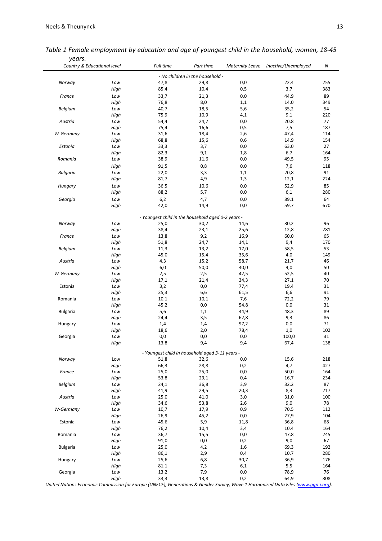| y cui J.<br>Country & Educational level |      | Full time                                          | Part time                        | <b>Maternity Leave</b> | Inactive/Unemployed | Ν        |
|-----------------------------------------|------|----------------------------------------------------|----------------------------------|------------------------|---------------------|----------|
|                                         |      |                                                    | - No children in the household - |                        |                     |          |
| Norway                                  | Low  | 47,8                                               | 29,8                             | 0,0                    | 22,4                | 255      |
|                                         | High | 85,4                                               | 10,4                             | 0,5                    | 3,7                 | 383      |
|                                         |      |                                                    |                                  |                        |                     |          |
| France                                  | Low  | 33,7                                               | 21,3                             | 0,0                    | 44,9                | 89       |
|                                         | High | 76,8                                               | 8,0                              | 1,1                    | 14,0                | 349      |
| Belgium                                 | Low  | 40,7                                               | 18,5                             | 5,6                    | 35,2                | 54       |
|                                         | High | 75,9                                               | 10,9                             | 4,1                    | 9,1                 | 220      |
| Austria                                 | Low  | 54,4                                               | 24,7                             | 0,0                    | 20,8                | 77       |
|                                         | High | 75,4                                               | 16,6                             | 0,5                    | 7,5                 | 187      |
| W-Germany                               | Low  | 31,6                                               | 18,4                             | 2,6                    | 47,4                | 114      |
|                                         | High | 68,8                                               | 15,6                             | 0,6                    | 14,9                | 154      |
| Estonia                                 | Low  | 33,3                                               | 3,7                              | 0,0                    | 63,0                | 27       |
|                                         | High | 82,3                                               | 9,1                              | 1,8                    | 6,7                 | 164      |
|                                         |      |                                                    |                                  |                        |                     |          |
| Romania                                 | Low  | 38,9                                               | 11,6                             | 0,0                    | 49,5                | 95       |
|                                         | High | 91,5                                               | 0,8                              | 0,0                    | 7,6                 | 118      |
| <b>Bulgaria</b>                         | Low  | 22,0                                               | 3,3                              | 1,1                    | 20,8                | 91       |
|                                         | High | 81,7                                               | 4,9                              | 1,3                    | 12,1                | 224      |
| Hungary                                 | Low  | 36,5                                               | 10,6                             | 0,0                    | 52,9                | 85       |
|                                         |      |                                                    |                                  |                        |                     |          |
|                                         | High | 88,2                                               | 5,7                              | 0,0                    | 6,1                 | 280      |
| Georgia                                 | Low  | 6,2                                                | 4,7                              | 0,0                    | 89,1                | 64       |
|                                         | High | 42,0                                               | 14,9                             | 0,0                    | 59,7                | 670      |
|                                         |      | - Youngest child in the household aged 0-2 years - |                                  |                        |                     |          |
| Norway                                  | Low  | 25,0                                               | 30,2                             | 14,6                   | 30,2                | 96       |
|                                         | High | 38,4                                               | 23,1                             | 25,6                   | 12,8                | 281      |
| France                                  | Low  | 13,8                                               | 9,2                              | 16,9                   | 60,0                | 65       |
|                                         |      |                                                    |                                  |                        |                     |          |
|                                         | High | 51,8                                               | 24,7                             | 14,1                   | 9,4                 | 170      |
| Belgium                                 | Low  | 11,3                                               | 13,2                             | 17,0                   | 58,5                | 53       |
|                                         | High | 45,0                                               | 15,4                             | 35,6                   | 4,0                 | 149      |
| Austria                                 | Low  | 4,3                                                | 15,2                             | 58,7                   | 21,7                | 46       |
|                                         | High | 6,0                                                | 50,0                             | 40,0                   | 4,0                 | 50       |
| W-Germany                               | Low  | 2,5                                                | 2,5                              | 42,5                   | 52,5                | 40       |
|                                         | High | 17,1                                               | 21,4                             | 34,3                   | 27,1                |          |
|                                         |      |                                                    |                                  |                        |                     | 70<br>31 |
| Estonia                                 | Low  | 3,2                                                | 0,0                              | 77,4                   | 19,4                |          |
|                                         | High | 25,3                                               | 6,6                              | 61,5                   | 6,6                 | 91       |
| Romania                                 | Low  | 10,1                                               | 10,1                             | 7,6                    | 72,2                | 79       |
|                                         | High | 45,2                                               | 0,0                              | 54.8                   | 0,0                 | 31       |
| <b>Bulgaria</b>                         | Low  | 5,6                                                | 1,1                              | 44,9                   | 48,3                | 89       |
|                                         | High | 24,4                                               | 3,5                              | 62,8                   | 9,3                 | 86       |
| Hungary                                 | Low  | 1,4                                                | 1,4                              | 97,2                   | 0,0                 | 71       |
|                                         | High |                                                    | 2,0                              | 78,4                   | 1,0                 | 102      |
|                                         |      | 18,6                                               |                                  |                        |                     |          |
| Georgia                                 | Low  | 0,0                                                | 0,0                              | 0,0                    | 100,0               | 31       |
|                                         | High | 13,8                                               | 9,4                              | 9,4                    | 67,4                | 138      |
|                                         |      | - Youngest child in household aged 3-11 years -    |                                  |                        |                     |          |
| Norway                                  | Low  | 51,8                                               | 32,6                             | 0,0                    | 15,6                | 218      |
|                                         | High | 66,3                                               | 28,8                             | 0,2                    | 4,7                 | 427      |
| France                                  | Low  | 25,0                                               | 25,0                             | 0,0                    | 50,0                | 164      |
|                                         | High | 53,8                                               | 29,1                             | 0,4                    | 16,7                | 234      |
| Belgium                                 | Low  | 24,1                                               | 36,8                             | 3,9                    | 32,2                | 87       |
|                                         | High | 41,9                                               | 29,5                             | 20,3                   | 8,3                 | 217      |
|                                         |      |                                                    |                                  |                        |                     |          |
| Austria                                 | Low  | 25,0                                               | 41,0                             | 3,0                    | 31,0                | 100      |
|                                         | High | 34,6                                               | 53,8                             | 2,6                    | 9,0                 | 78       |
| W-Germany                               | Low  | 10,7                                               | 17,9                             | 0,9                    | 70,5                | 112      |
|                                         | High | 26,9                                               | 45,2                             | 0,0                    | 27,9                | 104      |
| Estonia                                 | Low  | 45,6                                               | 5,9                              | 11,8                   | 36,8                | 68       |
|                                         | High | 76,2                                               | 10,4                             | 3,4                    | 10,4                | 164      |
| Romania                                 | Low  | 36,7                                               | 15,5                             | 0,0                    | 47,8                | 245      |
|                                         |      |                                                    |                                  |                        |                     |          |
|                                         | High | 91,0                                               | 0,0                              | 0,2                    | 9,0                 | 67       |
| <b>Bulgaria</b>                         | Low  | 25,0                                               | 4,2                              | 1,6                    | 69,3                | 192      |
|                                         | High | 86,1                                               | 2,9                              | 0,4                    | 10,7                | 280      |
| Hungary                                 | Low  | 25,6                                               | 6,8                              | 30,7                   | 36,9                | 176      |
|                                         | High | 81,1                                               | 7,3                              | 6,1                    | 5,5                 | 164      |
|                                         | Low  | 13,2                                               | 7,9                              | 0,0                    | 78,9                | 76       |
| Georgia                                 |      |                                                    |                                  |                        |                     |          |

*Table 1 Female employment by education and age of youngest child in the household, women, 18-45 years.*

*United Nations Economic Commission for Europe (UNECE), Generations & Gender Survey, Wave 1 Harmonized Data Files [\(www.ggp-i.org\).](http://www.ggp-i.org/)*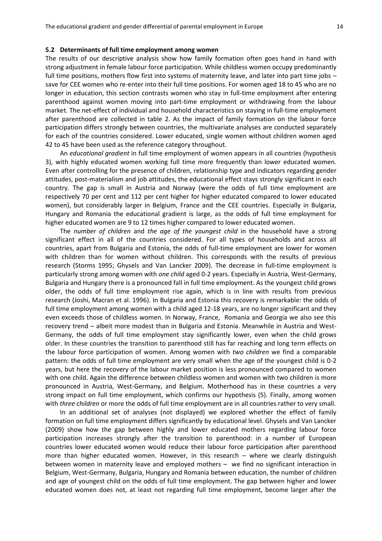#### **5.2 Determinants of full time employment among women**

The results of our descriptive analysis show how family formation often goes hand in hand with strong adjustment in female labour force participation. While childless women occupy predominantly full time positions, mothers flow first into systems of maternity leave, and later into part time jobs – save for CEE women who re-enter into their full time positions. For women aged 18 to 45 who are no longer in education, this section contrasts women who stay in full-time employment after entering parenthood against women moving into part-time employment or withdrawing from the labour market. The net-effect of individual and household characteristics on staying in full-time employment after parenthood are collected in table 2. As the impact of family formation on the labour force participation differs strongly between countries, the multivariate analyses are conducted separately for each of the countries considered. Lower educated, single women without children women aged 42 to 45 have been used as the reference category throughout.

An *educational gradient* in full time employment of women appears in all countries (hypothesis 3), with highly educated women working full time more frequently than lower educated women. Even after controlling for the presence of children, relationship type and indicators regarding gender attitudes, post-materialism and job attitudes, the educational effect stays strongly significant in each country. The gap is small in Austria and Norway (were the odds of full time employment are respectively 70 per cent and 112 per cent higher for higher educated compared to lower educated women), but considerably larger in Belgium, France and the CEE countries. Especially in Bulgaria, Hungary and Romania the educational gradient is large, as the odds of full time employment for higher educated women are 9 to 12 times higher compared to lower educated women.

The *number of children* and *the age of the youngest child* in the household have a strong significant effect in all of the countries considered. For all types of households and across all countries, apart from Bulgaria and Estonia, the odds of full-time employment are lower for women with children than for women without children. This corresponds with the results of previous research [\(Storms 1995;](#page-24-0) [Ghysels and Van Lancker 2009\)](#page-23-0). The decrease in full-time employment is particularly strong among women with *one child* aged 0-2 years. Especially in Austria, West-Germany, Bulgaria and Hungary there is a pronounced fall in full time employment. As the youngest child grows older, the odds of full time employment rise again, which is in line with results from previous research [\(Joshi, Macran et al. 1996\)](#page-23-1). In Bulgaria and Estonia this recovery is remarkable: the odds of full time employment among women with a child aged 12-18 years, are no longer significant and they even exceeds those of childless women. In Norway, France, Romania and Georgia we also see this recovery trend – albeit more modest than in Bulgaria and Estonia. Meanwhile in Austria and West-Germany, the odds of full time employment stay significantly lower, even when the child grows older. In these countries the transition to parenthood still has far reaching and long term effects on the labour force participation of women. Among women with *two children* we find a comparable pattern: the odds of full time employment are very small when the age of the youngest child is 0-2 years, but here the recovery of the labour market position is less pronounced compared to women with one child. Again the difference between childless women and women with two children is more pronounced in Austria, West-Germany, and Belgium. Motherhood has in these countries a very strong impact on full time employment, which confirms our hypothesis (5). Finally, among women with *three children* or more the odds of full time employment are in all countries rather to very small.

In an additional set of analyses (not displayed) we explored whether the effect of family formation on full time employment differs significantly by educational level. Ghysels and Van Lancker (2009) show how the gap between highly and lower educated mothers regarding labour force participation increases strongly after the transition to parenthood: in a number of European countries lower educated women would reduce their labour force participation after parenthood more than higher educated women. However, in this research – where we clearly distinguish between women in maternity leave and employed mothers – we find no significant interaction in Belgium, West-Germany, Bulgaria, Hungary and Romania between education, the number of children and age of youngest child on the odds of full time employment. The gap between higher and lower educated women does not, at least not regarding full time employment, become larger after the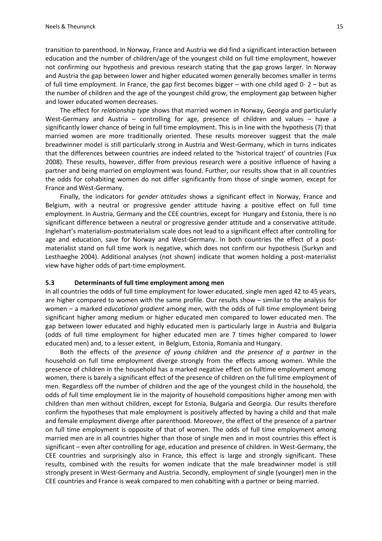transition to parenthood. In Norway, France and Austria we did find a significant interaction between education and the number of children/age of the youngest child on full time employment, however not confirming our hypothesis and previous research stating that the gap grows larger. In Norway and Austria the gap between lower and higher educated women generally becomes smaller in terms of full time employment. In France, the gap first becomes bigger – with one child aged 0- 2 – but as the number of children and the age of the youngest child grow, the employment gap between higher and lower educated women decreases.

The effect for *relationship type* shows that married women in Norway, Georgia and particularly West-Germany and Austria – controlling for age, presence of children and values – have a significantly lower chance of being in full time employment. This is in line with the hypothesis (7) that married women are more traditionally oriented. These results moreover suggest that the male breadwinner model is still particularly strong in Austria and West-Germany, which in turns indicates that the differences between countries are indeed related to the 'historical traject' of countries [\(Fux](#page-23-2)  [2008\)](#page-23-2). These results, however, differ from previous research were a positive influence of having a partner and being married on employment was found. Further, our results show that in all countries the odds for cohabiting women do not differ significantly from those of single women, except for France and West-Germany.

Finally, the indicators for *gender attitudes* shows a significant effect in Norway, France and Belgium, with a neutral or progressive gender attitude having a positive effect on full time employment. In Austria, Germany and the CEE countries, except for Hungary and Estonia, there is no significant difference between a neutral or progressive gender attitude and a conservative attitude. Inglehart's materialism-postmaterialism scale does not lead to a significant effect after controlling for age and education, save for Norway and West-Germany. In both countries the effect of a postmaterialist stand on full time work is negative, which does not confirm our hypothesis [\(Surkyn and](#page-24-1)  [Lesthaeghe 2004\)](#page-24-1). Additional analyses (not shown) indicate that women holding a post-materialist view have higher odds of part-time employment.

#### **5.3 Determinants of full time employment among men**

In all countries the odds of full time employment for lower educated, single men aged 42 to 45 years, are higher compared to women with the same profile. Our results show – similar to the analysis for women – a marked *educational gradient* among men, with the odds of full time employment being significant higher among medium or higher educated men compared to lower educated men. The gap between lower educated and highly educated men is particularly large in Austria and Bulgaria (odds of full time employment for higher educated men are 7 times higher compared to lower educated men) and, to a lesser extent, in Belgium, Estonia, Romania and Hungary.

Both the effects of the *presence of young children* and *the presence of a partner* in the household on full time employment diverge strongly from the effects among women. While the presence of children in the household has a marked negative effect on fulltime employment among women, there is barely a significant effect of the presence of children on the full time employment of men. Regardless off the number of children and the age of the youngest child in the household, the odds of full time employment lie in the majority of household compositions higher among men with children than men without children, except for Estonia, Bulgaria and Georgia. Our results therefore confirm the hypotheses that male employment is positively affected by having a child and that male and female employment diverge after parenthood. Moreover, the effect of the presence of a partner on full time employment is opposite of that of women. The odds of full time employment among married men are in all countries higher than those of single men and in most countries this effect is significant – even after controlling for age, education and presence of children. In West-Germany, the CEE countries and surprisingly also in France, this effect is large and strongly significant. These results, combined with the results for women indicate that the male breadwinner model is still strongly present in West-Germany and Austria. Secondly, employment of single (younger) men in the CEE countries and France is weak compared to men cohabiting with a partner or being married.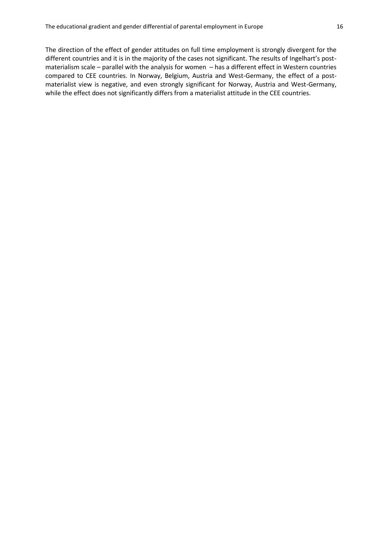The direction of the effect of gender attitudes on full time employment is strongly divergent for the different countries and it is in the majority of the cases not significant. The results of Ingelhart's postmaterialism scale – parallel with the analysis for women – has a different effect in Western countries compared to CEE countries. In Norway, Belgium, Austria and West-Germany, the effect of a postmaterialist view is negative, and even strongly significant for Norway, Austria and West-Germany, while the effect does not significantly differs from a materialist attitude in the CEE countries.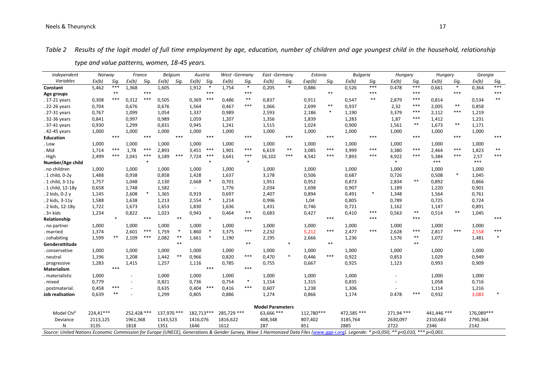# *Table 2 Results of the logit model of full time employment by age, education, number of children and age youngest child in the household, relationship*

| Independent            | Norway    |            | France      |         | <b>Belgium</b> |            | Austria    |         | West-Germany |        | East -Germany           |        | Estonia    |        | Bulgaria    |        | Hungary    |       | Hungary     |        | Georgia    |        |
|------------------------|-----------|------------|-------------|---------|----------------|------------|------------|---------|--------------|--------|-------------------------|--------|------------|--------|-------------|--------|------------|-------|-------------|--------|------------|--------|
| Variables              | Ex(b)     | Sig.       | Ex(b)       | Sig.    | Ex(b)          | Sig.       | Ex(b)      | Sig.    | Ex(b)        | Sig.   | Ex(b)                   | Sig.   | Exp(b)     | Sig.   | Ex(b)       | Sig.   | Ex(b)      | Sig.  | Ex(b)       | Sig.   | Ex(b)      | Sig.   |
| Constant               | 5,462     | ***        | 1,368       |         | 1,605          |            | 1,912      | $\ast$  | 1.754        | $\ast$ | 0,205                   | $\ast$ | 0,886      |        | 0,526       | ***    | 0.478      | $***$ | 0,661       | $\ast$ | 0,364      | $***$  |
| Age groups             |           | $\ast\ast$ |             | $***$   |                |            |            | ***     |              | ***    |                         |        |            | $**$   |             | ***    |            | ***   |             | $***$  |            | $***$  |
| 17-21 years            | 0,308     | ***        | 0,312       | ***     | 0,505          |            | 0,369      | ***     | 0,486        | $***$  | 0,837                   |        | 0,911      |        | 0,547       | $**$   | 2,879      | ***   | 0,814       |        | 0,534      | $**$   |
| 22-26 years            | 0,704     |            | 0,676       |         | 0,676          |            | 1,564      |         | 0,467        | ***    | 1,066                   |        | 2,699      | $***$  | 0,937       |        | 2,32       | ***   | 2,005       | $* *$  | 0,858      |        |
| 27-31 years            | 0,767     |            | 1,099       |         | 1,054          |            | 1,337      |         | 0,989        |        | 2,593                   |        | 2,186      | $\ast$ | 1,190       |        | 3,379      | ***   | 2,112       | ***    | 1,219      |        |
| 32-36 years            | 0,841     |            | 0,997       |         | 0,989          |            | 1,059      |         | 1,207        |        | 1,356                   |        | 1,839      |        | 1,283       |        | 1,87       | ***   | 1,412       |        | 1,231      |        |
| 37-41 years            | 0,930     |            | 1,299       |         | 0,831          |            | 0,945      |         | 1,241        |        | 1,515                   |        | 1,024      |        | 0,900       |        | 1,561      | $* *$ | 1,673       | $***$  | 1,171      |        |
| 42-45 years            | 1,000     |            | 1,000       |         | 1,000          |            | 1,000      |         | 1,000        |        | 1,000                   |        | 1,000      |        | 1,000       |        | 1,000      |       | 1,000       |        | 1,000      |        |
| <b>Education</b>       |           | $***$      |             | $***$   |                | $***$      |            | $***$   |              | ***    |                         | $***$  |            | $***$  |             | $***$  |            | $***$ |             | $***$  |            | ***    |
| Low                    | 1,000     |            | 1,000       |         | 1,000          |            | 1,000      |         | 1,000        |        | 1,000                   |        | 1,000      |        | 1,000       |        | 1,000      |       | 1,000       |        | 1,000      |        |
| Mid                    | 1,714     | $***$      | 1,78        | $***$   | 2,893          |            | 3,451      | ***     | 1,901        | ***    | 6,619                   | $***$  | 3,085      | $***$  | 3,999       | $***$  | 3,380      | $***$ | 2,464       | ***    | 1,823      | $***$  |
| High                   | 2,499     | ***        | 2,041       | $***$   | 3,189          | $***$      | 7,724      | $***$   | 3,641        | ***    | 16,102                  | $***$  | 4,542      | $***$  | 7,893       | ***    | 4,922      | $***$ | 5,384       | $***$  | 2,57       | $***$  |
| Number/Age child       |           |            |             | $\star$ |                |            |            |         |              | $*$    |                         |        |            |        |             |        | $\ast$     |       | ***         |        | ***        |        |
| no children            | 1,000     |            | 1,000       |         | 1,000          |            | 1,000      |         | 1,000        |        | 1,000                   |        | 1,000      |        | 1,000       |        | 1,000      |       | 1,000       |        | 1,000      |        |
| 1 child, 0-2y          | 1,488     |            | 0,938       |         | 0,858          |            | 1,428      |         | 1,637        |        | 3,178                   |        | 0,506      |        | 0,687       |        | 0,726      |       | 0,508       | $\ast$ | 1,045      |        |
| 1 child, 3-11y         | 1,757     |            | 1,048       |         | 2,130          |            | 2,668      |         | 0,701        |        | 1,951                   |        | 0,952      |        | 0,873       |        | 2,834      | $***$ | 0,892       |        | 0,866      |        |
| 1 child, 12-18y        | 0,658     |            | 1,748       |         | 1,582          |            | $\sim$     |         | 1,776        |        | 2,034                   |        | 1,698      |        | 0,907       |        | 1,189      |       | 1,220       |        | 0,901      |        |
| 2 kids, 0-2 y          | 1,145     |            | 2,608       |         | 1,365          |            | 0,919      |         | 0,697        |        | 2,407                   |        | 0,894      |        | 0,491       | $\ast$ | 1,348      |       | 1,564       |        | 0,761      |        |
| 2 kids, 3-11y          | 1,588     |            | 1,638       |         | 1,213          |            | 2,554      |         | 1,214        |        | 0,996                   |        | 1,04       |        | 0,805       |        | 0,789      |       | 0,725       |        | 0,724      |        |
| 2 kids, 12-18y         | 1,722     |            | 1,673       |         | 1,653          |            | 1,830      |         | 1,636        |        | 1,431                   |        | 0,746      |        | 0,721       |        | 1,162      |       | 1,147       |        | 0,891      |        |
| 3+ kids                | 1,234     |            | 0,822       |         | 1,023          |            | 0,943      |         | 0,464        | $***$  | 0,683                   |        | 0,427      |        | 0,410       | $***$  | 0,563      | $* *$ | 0,514       | $**$   | 1,045      |        |
| <b>Relationship</b>    |           | $\ast$     |             | $***$   |                | $\ast\ast$ |            | $\star$ |              | $***$  |                         |        |            | $***$  |             | $***$  |            | ***   |             |        |            | ***    |
| no partner             | 1,000     |            | 1,000       |         | 1,000          |            | 1,000      |         | 1,000        |        | 1,000                   |        | 1,000      |        | 1,000       |        | 1,000      |       | 1,000       |        | 1,000      |        |
| married                | 1,374     |            | 2,601       | $***$   | 1,759          | $\ast$     | 1.860      |         | 3,375        | ***    | 2,232                   |        | 5,212      | $***$  | 2,477       | $***$  | 2,628      | $***$ | 2,817       | ***    | 2,558      | $***$  |
| cohabiting             | 1,599     | $**$       | 2,109       | $***$   | 2,082          | $* *$      | 1,661      |         | 1,190        |        | 2,195                   |        | 2,666      |        | 1,236       |        | 1,576      | $**$  | 1,072       |        | 1,481      | $\ast$ |
| Genderattitude         |           |            |             |         |                | $**$       |            |         |              | $**$   |                         | $*$    |            | $**$   |             |        |            | $**$  |             |        |            |        |
| conservative           | 1,000     |            | 1,000       |         | 1,000          |            | 1,000      |         | 1,000        |        | 1,000                   |        | 1,000      |        | 1,000       |        | 1,000      |       | 1,000       |        | 1,000      |        |
| neutral                | 1,196     |            | 1,208       |         | 1,442          | $***$      | 0,966      |         | 0,820        | ***    | 0,470                   | $*$    | 0,446      | $***$  | 0,922       |        | 0,853      |       | 1,029       |        | 0,949      |        |
| progressive            | 1,283     |            | 1,415       |         | 1,257          |            | 1,116      |         | 0,785        |        | 0,755                   |        | 0,667      |        | 0,925       |        | 1,123      |       | 0,993       |        | 0,909      |        |
| <b>Materialism</b>     |           | $***$      |             |         |                |            |            | $***$   |              | ***    |                         |        |            |        |             |        |            |       |             |        |            |        |
| materialistic          | 1,000     |            |             |         | 1,000          |            | 1,000      |         | 1,000        |        | 1,000                   |        | 1,000      |        | 1,000       |        |            |       | 1,000       |        | 1,000      |        |
| mixed                  | 0,779     |            |             |         | 0,821          |            | 0,736      |         | 0,754        | $\ast$ | 1,154                   |        | 1,315      |        | 0,835       |        |            |       | 1,058       |        | 0,716      |        |
| postmaterial.          | 0,458     | ***        |             |         | 0,635          |            | 0,404      | ***     | 0,416        | ***    | 0,607                   |        | 1,238      |        | 1,306       |        |            |       | 1,114       |        | 1,216      |        |
| Job realisation        | 0,639     | $***$      |             |         | 1,299          |            | 0,805      |         | 0,886        |        | 1,274                   |        | 0,866      |        | 1,174       |        | 0.478      | ***   | 0,932       |        | 3,083      |        |
|                        |           |            |             |         |                |            |            |         |              |        | <b>Model Parameters</b> |        |            |        |             |        |            |       |             |        |            |        |
| Model Chi <sup>2</sup> | 224.41*** |            | 252.428 *** |         | 137.970 ***    |            | 182.713*** |         | 285.729 ***  |        | 63.666 ***              |        | 112,780*** |        | 472.585 *** |        | 271,94 *** |       | 441.446 *** |        | 176.089*** |        |

Deviance 2113,125 1961,368 1143,523 1416,076 1816,622 408,348 807,402 3185,764 2630,097 2310,683 2790,364 N 3135 1818 1351 1646 1612 287 851 2885 2722 2346 2142

Source: United Nations Economic Commission for Europe (UNECE), Generations & Gender Survey, Wave 1 Harmonized Data Files (www.gqp-i.org). Legende: \* p<0,050, \*\* p<0,010, \*\*\* p<0,001.

*type and value patterns, women, 18-45 years.*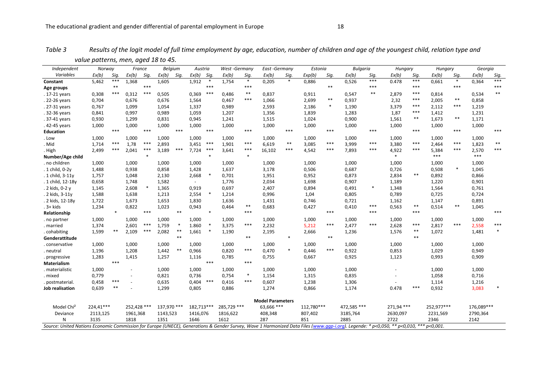| Independent            | Norway    |                                                                                                                                                                                        | France      |        | Belgium     |        | Austria                  |        | West-Germany |        | East-Germany            |        | Estonia    |        | <b>Bulgaria</b> |        | Hungary    |       |            | Hungary    |            | Georgia |
|------------------------|-----------|----------------------------------------------------------------------------------------------------------------------------------------------------------------------------------------|-------------|--------|-------------|--------|--------------------------|--------|--------------|--------|-------------------------|--------|------------|--------|-----------------|--------|------------|-------|------------|------------|------------|---------|
| Variables              | Ex(b)     | Sig.                                                                                                                                                                                   | Ex(b)       | Sig.   | Ex(b)       | Sig.   | $Ex(b)$ Sig.             |        | Ex(b)        | Sig.   | Ex(b)                   | Sig.   | Exp(b)     | Sig.   | Ex(b)           | Sig.   | Ex(b)      | Sig.  | Ex(b)      | Sig.       | Ex(b)      | Sig.    |
| Constant               | 5,462     | $***$                                                                                                                                                                                  | 1,368       |        | 1,605       |        | 1,912                    | $\ast$ | 1,754        | $\ast$ | 0,205                   | $\ast$ | 0,886      |        | 0,526           | ***    | 0.478      | $***$ | 0,661      | $\ast$     | 0,364      | ***     |
| Age groups             |           | $***$                                                                                                                                                                                  |             | $***$  |             |        |                          | $***$  |              | $***$  |                         |        |            | $***$  |                 | $***$  |            | $***$ |            | ***        |            | $***$   |
| . 17-21 years          | 0,308     | $***$                                                                                                                                                                                  | 0,312       | $***$  | 0,505       |        | 0,369                    | ***    | 0,486        | $***$  | 0,837                   |        | 0,911      |        | 0,547           | $**$   | 2,879      | $***$ | 0,814      |            | 0,534      | $**$    |
| . 22-26 years          | 0,704     |                                                                                                                                                                                        | 0,676       |        | 0,676       |        | 1,564                    |        | 0,467        | $***$  | 1,066                   |        | 2,699      | $***$  | 0,937           |        | 2,32       | $***$ | 2,005      | $***$      | 0,858      |         |
| . 27-31 years          | 0,767     |                                                                                                                                                                                        | 1,099       |        | 1,054       |        | 1,337                    |        | 0,989        |        | 2,593                   |        | 2,186      | $\ast$ | 1,190           |        | 3,379      | $***$ | 2,112      | $***$      | 1,219      |         |
| .32-36 years           | 0,841     |                                                                                                                                                                                        | 0,997       |        | 0,989       |        | 1,059                    |        | 1,207        |        | 1,356                   |        | 1,839      |        | 1,283           |        | 1,87       | $***$ | 1,412      |            | 1,231      |         |
| .37-41 years           | 0,930     |                                                                                                                                                                                        | 1,299       |        | 0,831       |        | 0,945                    |        | 1,241        |        | 1,515                   |        | 1,024      |        | 0,900           |        | 1,561      | $***$ | 1,673      | $\ast\ast$ | 1,171      |         |
| .42-45 years           | 1,000     |                                                                                                                                                                                        | 1,000       |        | 1,000       |        | 1,000                    |        | 1,000        |        | 1,000                   |        | 1,000      |        | 1,000           |        | 1,000      |       | 1,000      |            | 1,000      |         |
| <b>Education</b>       |           | $***$                                                                                                                                                                                  |             | $***$  |             | $***$  |                          | $***$  |              | $***$  |                         | $***$  |            | ***    |                 | ***    |            | $***$ |            | ***        |            | ***     |
| . Low                  | 1,000     |                                                                                                                                                                                        | 1,000       |        | 1,000       |        | 1,000                    |        | 1,000        |        | 1,000                   |        | 1,000      |        | 1,000           |        | 1,000      |       | 1,000      |            | 1,000      |         |
| . Mid                  | 1,714     | $***$                                                                                                                                                                                  | 1,78        | $***$  | 2,893       |        | 3,451                    | ***    | 1,901        | $***$  | 6,619                   | $***$  | 3,085      | ***    | 3,999           | ***    | 3,380      | $***$ | 2,464      | $***$      | 1,823      | $***$   |
| . High                 | 2,499     | $***$                                                                                                                                                                                  | 2,041       | $***$  | 3,189       | ***    | 7,724                    | $***$  | 3,641        | $***$  | 16,102                  | $***$  | 4,542      | ***    | 7,893           | ***    | 4,922      | $***$ | 5,384      | ***        | 2,570      | $***$   |
| Number/Age child       |           |                                                                                                                                                                                        |             | $\ast$ |             |        |                          | $\ast$ |              | $\ast$ |                         |        |            |        |                 |        | $*$        |       | $***$      |            | $***$      |         |
| . no children          | 1,000     |                                                                                                                                                                                        | 1,000       |        | 1,000       |        | 1,000                    |        | 1,000        |        | 1,000                   |        | 1,000      |        | 1,000           |        | 1,000      |       | 1,000      |            | 1,000      |         |
| . 1 child, 0-2y        | 1,488     |                                                                                                                                                                                        | 0,938       |        | 0,858       |        | 1,428                    |        | 1,637        |        | 3,178                   |        | 0,506      |        | 0,687           |        | 0,726      |       | 0,508      | $\ast$     | 1,045      |         |
| . 1 child, 3-11y       | 1,757     |                                                                                                                                                                                        | 1,048       |        | 2,130       |        | 2,668                    |        | 0,701        |        | 1,951                   |        | 0,952      |        | 0,873           |        | 2,834      | $***$ | 0,892      |            | 0,866      |         |
| . 1 child, 12-18y      | 0,658     |                                                                                                                                                                                        | 1,748       |        | 1,582       |        | $\overline{\phantom{a}}$ |        | 1,776        |        | 2,034                   |        | 1,698      |        | 0,907           |        | 1,189      |       | 1,220      |            | 0,901      |         |
| . 2 kids, 0-2 y        | 1,145     |                                                                                                                                                                                        | 2,608       |        | 1,365       |        | 0,919                    |        | 0,697        |        | 2,407                   |        | 0,894      |        | 0,491           | $\ast$ | 1,348      |       | 1,564      |            | 0,761      |         |
| . 2 kids, 3-11y        | 1,588     |                                                                                                                                                                                        | 1,638       |        | 1,213       |        | 2,554                    |        | 1,214        |        | 0,996                   |        | 1,04       |        | 0,805           |        | 0,789      |       | 0,725      |            | 0,724      |         |
| . 2 kids, 12-18y       | 1,722     |                                                                                                                                                                                        | 1,673       |        | 1,653       |        | 1,830                    |        | 1,636        |        | 1,431                   |        | 0,746      |        | 0,721           |        | 1,162      |       | 1,147      |            | 0,891      |         |
| . 3+ kids              | 1,234     |                                                                                                                                                                                        | 0,822       |        | 1,023       |        | 0,943                    |        | 0,464        | $***$  | 0,683                   |        | 0,427      |        | 0,410           | ***    | 0,563      | $***$ | 0,514      | $***$      | 1,045      |         |
| Relationship           |           |                                                                                                                                                                                        |             | $***$  |             | $**$   |                          | $\ast$ |              | $***$  |                         |        |            | ***    |                 | $***$  |            | $***$ |            |            |            | ***     |
| . no partner           | 1,000     |                                                                                                                                                                                        | 1,000       |        | 1,000       |        | 1,000                    |        | 1,000        |        | 1,000                   |        | 1,000      |        | 1,000           |        | 1,000      |       | 1,000      |            | 1,000      |         |
| . married              | 1,374     |                                                                                                                                                                                        | 2,601       | ***    | 1,759       | $\ast$ | 1.860                    |        | 3,375        | $***$  | 2,232                   |        | 5,212      | $***$  | 2,477           | ***    | 2,628      | $***$ | 2,817      | $***$      | 2,558      | $***$   |
| . cohabiting           | 1,599     | $***$                                                                                                                                                                                  | 2,109       | ***    | 2,082       | $***$  | 1,661                    |        | 1,190        |        | 2,195                   |        | 2,666      |        | 1,236           |        | 1,576      | $***$ | 1,072      |            | 1,481      | $\ast$  |
| Genderattitude         |           |                                                                                                                                                                                        |             |        |             | $***$  |                          |        |              | $**$   |                         | $\ast$ |            | $**$   |                 |        |            | $**$  |            |            |            |         |
| . conservative         | 1,000     |                                                                                                                                                                                        | 1,000       |        | 1,000       |        | 1,000                    |        | 1,000        |        | 1,000                   |        | 1,000      |        | 1,000           |        | 1,000      |       | 1,000      |            | 1,000      |         |
| . neutral              | 1,196     |                                                                                                                                                                                        | 1,208       |        | 1,442       | $***$  | 0,966                    |        | 0,820        | $***$  | 0,470                   | $\ast$ | 0,446      | ***    | 0,922           |        | 0,853      |       | 1,029      |            | 0,949      |         |
| . progressive          | 1,283     |                                                                                                                                                                                        | 1,415       |        | 1,257       |        | 1,116                    |        | 0,785        |        | 0,755                   |        | 0,667      |        | 0,925           |        | 1,123      |       | 0,993      |            | 0,909      |         |
| <b>Materialism</b>     |           | $***$                                                                                                                                                                                  |             |        |             |        |                          | $***$  |              | $***$  |                         |        |            |        |                 |        |            |       |            |            |            |         |
| . materialistic        | 1,000     |                                                                                                                                                                                        |             |        | 1,000       |        | 1,000                    |        | 1,000        |        | 1,000                   |        | 1,000      |        | 1,000           |        |            |       | 1,000      |            | 1,000      |         |
| . mixed                | 0,779     |                                                                                                                                                                                        |             |        | 0,821       |        | 0,736                    |        | 0,754        | $\ast$ | 1,154                   |        | 1,315      |        | 0,835           |        |            |       | 1,058      |            | 0,716      |         |
| . postmaterial.        | 0,458     | $***$                                                                                                                                                                                  |             |        | 0,635       |        | 0,404                    | $***$  | 0,416        | $***$  | 0,607                   |        | 1,238      |        | 1,306           |        |            |       | 1,114      |            | 1,216      |         |
| Job realisation        | 0,639     | $***$                                                                                                                                                                                  |             |        | 1,299       |        | 0,805                    |        | 0,886        |        | 1,274                   |        | 0,866      |        | 1,174           |        | 0.478      | $***$ | 0,932      |            | 3,083      |         |
|                        |           |                                                                                                                                                                                        |             |        |             |        |                          |        |              |        | <b>Model Parameters</b> |        |            |        |                 |        |            |       |            |            |            |         |
| Model Chi <sup>2</sup> | 224,41*** |                                                                                                                                                                                        | 252,428 *** |        | 137,970 *** |        | 182,713***               |        | 285,729 ***  |        | 63,666 ***              |        | 112,780*** |        | 472,585 ***     |        | 271,94 *** |       | 252,977*** |            | 176,089*** |         |
| Deviance               | 2113,125  |                                                                                                                                                                                        | 1961,368    |        | 1143,523    |        | 1416,076                 |        | 1816,622     |        | 408,348                 |        | 807,402    |        | 3185,764        |        | 2630,097   |       | 2231,569   |            | 2790,364   |         |
| N                      | 3135      |                                                                                                                                                                                        | 1818        |        | 1351        |        | 1646                     |        | 1612         |        | 287                     |        | 851        |        | 2885            |        | 2722       |       | 2346       |            | 2142       |         |
|                        |           | Source: United Nations Economic Commission for Europe (UNECE), Generations & Gender Survey, Wave 1 Harmonized Data Files (www.agp-i.org). Legende: * p<0,050, ** p<0,010, *** p<0,001. |             |        |             |        |                          |        |              |        |                         |        |            |        |                 |        |            |       |            |            |            |         |

*Table 3 Results of the logit model of full time employment by age, education, number of children and age of the youngest child, relation type and value patterns, men, aged 18 to 45.*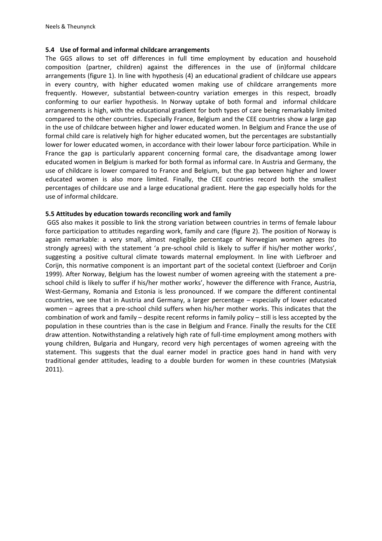# **5.4 Use of formal and informal childcare arrangements**

The GGS allows to set off differences in full time employment by education and household composition (partner, children) against the differences in the use of (in)formal childcare arrangements (figure 1). In line with hypothesis (4) an educational gradient of childcare use appears in every country, with higher educated women making use of childcare arrangements more frequently. However, substantial between-country variation emerges in this respect, broadly conforming to our earlier hypothesis. In Norway uptake of both formal and informal childcare arrangements is high, with the educational gradient for both types of care being remarkably limited compared to the other countries. Especially France, Belgium and the CEE countries show a large gap in the use of childcare between higher and lower educated women. In Belgium and France the use of formal child care is relatively high for higher educated women, but the percentages are substantially lower for lower educated women, in accordance with their lower labour force participation. While in France the gap is particularly apparent concerning formal care, the disadvantage among lower educated women in Belgium is marked for both formal as informal care. In Austria and Germany, the use of childcare is lower compared to France and Belgium, but the gap between higher and lower educated women is also more limited. Finally, the CEE countries record both the smallest percentages of childcare use and a large educational gradient. Here the gap especially holds for the use of informal childcare.

# **5.5 Attitudes by education towards reconciling work and family**

GGS also makes it possible to link the strong variation between countries in terms of female labour force participation to attitudes regarding work, family and care (figure 2). The position of Norway is again remarkable: a very small, almost negligible percentage of Norwegian women agrees (to strongly agrees) with the statement 'a pre-school child is likely to suffer if his/her mother works', suggesting a positive cultural climate towards maternal employment. In line with Liefbroer and Corijn, this normative component is an important part of the societal context [\(Liefbroer and Corijn](#page-23-3)  [1999\)](#page-23-3). After Norway, Belgium has the lowest number of women agreeing with the statement a preschool child is likely to suffer if his/her mother works', however the difference with France, Austria, West-Germany, Romania and Estonia is less pronounced. If we compare the different continental countries, we see that in Austria and Germany, a larger percentage – especially of lower educated women – agrees that a pre-school child suffers when his/her mother works. This indicates that the combination of work and family – despite recent reforms in family policy – still is less accepted by the population in these countries than is the case in Belgium and France. Finally the results for the CEE draw attention. Notwithstanding a relatively high rate of full-time employment among mothers with young children, Bulgaria and Hungary, record very high percentages of women agreeing with the statement. This suggests that the dual earner model in practice goes hand in hand with very traditional gender attitudes, leading to a double burden for women in these countries [\(Matysiak](#page-24-2)  [2011\)](#page-24-2).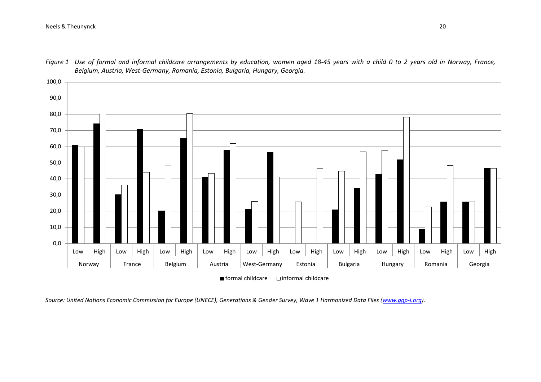### Neels & Theunynck 20



*Figure 1 Use of formal and informal childcare arrangements by education, women aged 18-45 years with a child 0 to 2 years old in Norway, France, Belgium, Austria, West-Germany, Romania, Estonia, Bulgaria, Hungary, Georgia.* 

*Source: United Nations Economic Commission for Europe (UNECE), Generations & Gender Survey, Wave 1 Harmonized Data Files [\(www.ggp-i.org\)](http://www.ggp-i.org/)*.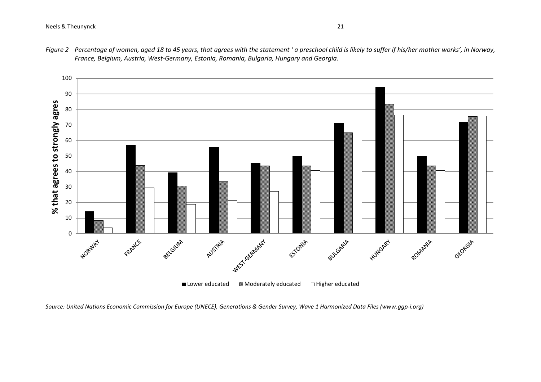

*Figure 2 Percentage of women, aged 18 to 45 years, that agrees with the statement ' a preschool child is likely to suffer if his/her mother works', in Norway, France, Belgium, Austria, West-Germany, Estonia, Romania, Bulgaria, Hungary and Georgia.*

*Source: United Nations Economic Commission for Europe (UNECE), Generations & Gender Survey, Wave 1 Harmonized Data Files (www.ggp-i.org)*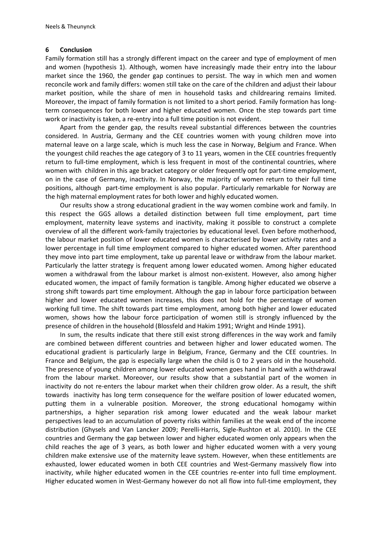### **6 Conclusion**

Family formation still has a strongly different impact on the career and type of employment of men and women (hypothesis 1). Although, women have increasingly made their entry into the labour market since the 1960, the gender gap continues to persist. The way in which men and women reconcile work and family differs: women still take on the care of the children and adjust their labour market position, while the share of men in household tasks and childrearing remains limited. Moreover, the impact of family formation is not limited to a short period. Family formation has longterm consequences for both lower and higher educated women. Once the step towards part time work or inactivity is taken, a re-entry into a full time position is not evident.

Apart from the gender gap, the results reveal substantial differences between the countries considered. In Austria, Germany and the CEE countries women with young children move into maternal leave on a large scale, which is much less the case in Norway, Belgium and France. When the youngest child reaches the age category of 3 to 11 years, women in the CEE countries frequently return to full-time employment, which is less frequent in most of the continental countries, where women with children in this age bracket category or older frequently opt for part-time employment, on in the case of Germany, inactivity. In Norway, the majority of women return to their full time positions, although part-time employment is also popular. Particularly remarkable for Norway are the high maternal employment rates for both lower and highly educated women.

Our results show a strong educational gradient in the way women combine work and family. In this respect the GGS allows a detailed distinction between full time employment, part time employment, maternity leave systems and inactivity, making it possible to construct a complete overview of all the different work-family trajectories by educational level. Even before motherhood, the labour market position of lower educated women is characterised by lower activity rates and a lower percentage in full time employment compared to higher educated women. After parenthood they move into part time employment, take up parental leave or withdraw from the labour market. Particularly the latter strategy is frequent among lower educated women. Among higher educated women a withdrawal from the labour market is almost non-existent. However, also among higher educated women, the impact of family formation is tangible. Among higher educated we observe a strong shift towards part time employment. Although the gap in labour force participation between higher and lower educated women increases, this does not hold for the percentage of women working full time. The shift towards part time employment, among both higher and lower educated women, shows how the labour force participation of women still is strongly influenced by the presence of children in the household [\(Blossfeld and Hakim 1991;](#page-22-0) [Wright and Hinde 1991\)](#page-25-0).

In sum, the results indicate that there still exist strong differences in the way work and family are combined between different countries and between higher and lower educated women. The educational gradient is particularly large in Belgium, France, Germany and the CEE countries. In France and Belgium, the gap is especially large when the child is 0 to 2 years old in the household. The presence of young children among lower educated women goes hand in hand with a withdrawal from the labour market. Moreover, our results show that a substantial part of the women in inactivity do not re-enters the labour market when their children grow older. As a result, the shift towards inactivity has long term consequence for the welfare position of lower educated women, putting them in a vulnerable position. Moreover, the strong educational homogamy within partnerships, a higher separation risk among lower educated and the weak labour market perspectives lead to an accumulation of poverty risks within families at the weak end of the income distribution [\(Ghysels and Van Lancker 2009;](#page-23-0) [Perelli-Harris, Sigle-Rushton et al. 2010\)](#page-24-3). In the CEE countries and Germany the gap between lower and higher educated women only appears when the child reaches the age of 3 years, as both lower and higher educated women with a very young children make extensive use of the maternity leave system. However, when these entitlements are exhausted, lower educated women in both CEE countries and West-Germany massively flow into inactivity, while higher educated women in the CEE countries re-enter into full time employment. Higher educated women in West-Germany however do not all flow into full-time employment, they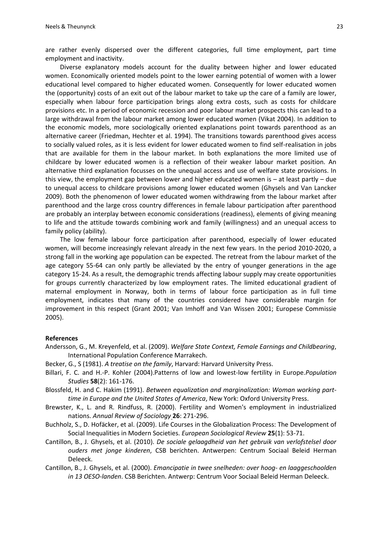are rather evenly dispersed over the different categories, full time employment, part time employment and inactivity.

Diverse explanatory models account for the duality between higher and lower educated women. Economically oriented models point to the lower earning potential of women with a lower educational level compared to higher educated women. Consequently for lower educated women the (opportunity) costs of an exit out of the labour market to take up the care of a family are lower, especially when labour force participation brings along extra costs, such as costs for childcare provisions etc. In a period of economic recession and poor labour market prospects this can lead to a large withdrawal from the labour market among lower educated women [\(Vikat 2004\)](#page-25-1). In addition to the economic models, more sociologically oriented explanations point towards parenthood as an alternative career [\(Friedman, Hechter et al. 1994\)](#page-23-4). The transitions towards parenthood gives access to socially valued roles, as it is less evident for lower educated women to find self-realisation in jobs that are available for them in the labour market. In both explanations the more limited use of childcare by lower educated women is a reflection of their weaker labour market position. An alternative third explanation focusses on the unequal access and use of welfare state provisions. In this view, the employment gap between lower and higher educated women is – at least partly – due to unequal access to childcare provisions among lower educated women [\(Ghysels and Van Lancker](#page-23-5)  [2009\)](#page-23-5). Both the phenomenon of lower educated women withdrawing from the labour market after parenthood and the large cross country differences in female labour participation after parenthood are probably an interplay between economic considerations (readiness), elements of giving meaning to life and the attitude towards combining work and family (willingness) and an unequal access to family policy (ability).

The low female labour force participation after parenthood, especially of lower educated women, will become increasingly relevant already in the next few years. In the period 2010-2020, a strong fall in the working age population can be expected. The retreat from the labour market of the age category 55-64 can only partly be alleviated by the entry of younger generations in the age category 15-24. As a result, the demographic trends affecting labour supply may create opportunities for groups currently characterized by low employment rates. The limited educational gradient of maternal employment in Norway, both in terms of labour force participation as in full time employment, indicates that many of the countries considered have considerable margin for improvement in this respect [\(Grant 2001;](#page-23-6) [Van Imhoff and Van Wissen 2001;](#page-25-2) [Europese Commissie](#page-23-7)  [2005\)](#page-23-7).

#### **References**

- Andersson, G., M. Kreyenfeld, et al. (2009). *Welfare State Context, Female Earnings and Childbearing*, International Population Conference Marrakech.
- Becker, G., S (1981). *A treatise on the family*, Harvard: Harvard University Press.
- Billari, F. C. and H.-P. Kohler (2004).Patterns of low and lowest-low fertility in Europe.*Population Studies* **58**(2): 161-176.
- <span id="page-22-0"></span>Blossfeld, H. and C. Hakim (1991). *Between equalization and marginalization: Woman working parttime in Europe and the United States of America*, New York: Oxford University Press.
- Brewster, K., L. and R. Rindfuss, R. (2000). Fertility and Women's employment in industrialized nations. *Annual Review of Sociology* **26**: 271-296.
- Buchholz, S., D. Hofäcker, et al. (2009). Life Courses in the Globalization Process: The Development of Social Inequalities in Modern Societies. *European Sociological Review* **25**(1): 53-71.
- Cantillon, B., J. Ghysels, et al. (2010). *De sociale gelaagdheid van het gebruik van verlofstelsel door ouders met jonge kinderen*, CSB berichten. Antwerpen: Centrum Sociaal Beleid Herman Deleeck.
- Cantillon, B., J. Ghysels, et al. (2000). *Emancipatie in twee snelheden: over hoog- en laaggeschoolden in 13 OESO-landen*. CSB Berichten. Antwerp: Centrum Voor Sociaal Beleid Herman Deleeck.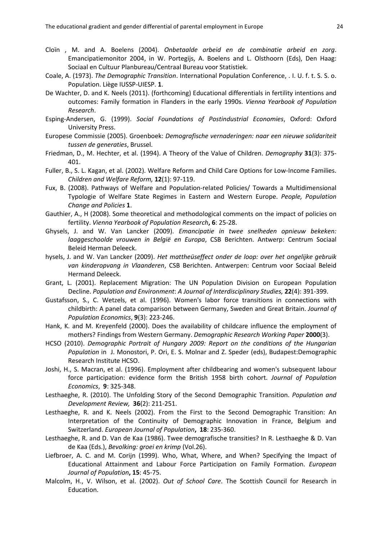- Cloïn , M. and A. Boelens (2004). *Onbetaalde arbeid en de combinatie arbeid en zorg*. Emancipatiemonitor 2004, in W. Portegijs, A. Boelens and L. Olsthoorn (Eds), Den Haag: Sociaal en Cultuur Planbureau/Centraal Bureau voor Statistiek.
- Coale, A. (1973). *The Demographic Transition*. International Population Conference, . I. U. f. t. S. S. o. Population. Liège IUSSP-UIESP. **1**.
- De Wachter, D. and K. Neels (2011). (forthcoming) Educational differentials in fertility intentions and outcomes: Family formation in Flanders in the early 1990s. *Vienna Yearbook of Population Research*.
- Esping-Andersen, G. (1999). *Social Foundations of Postindustrial Economies*, Oxford: Oxford University Press.
- Europese Commissie (2005). Groenboek: *Demografische vernaderingen: naar een nieuwe solidariteit tussen de generaties*, Brussel.
- <span id="page-23-7"></span>Friedman, D., M. Hechter, et al. (1994). A Theory of the Value of Children. *Demography* **31**(3): 375- 401.
- <span id="page-23-4"></span>Fuller, B., S. L. Kagan, et al. (2002). Welfare Reform and Child Care Options for Low-Income Families. *Children and Welfare Reform,* **12**(1): 97-119.
- Fux, B. (2008). Pathways of Welfare and Population-related Policies/ Towards a Multidimensional Typologie of Welfare State Regimes in Eastern and Western Europe. *People, Population Change and Policies* **1**.
- <span id="page-23-2"></span>Gauthier, A., H (2008). Some theoretical and methodological comments on the impact of policies on fertility. *Vienna Yearbook of Population Research***, 6**: 25-28.
- Ghysels, J. and W. Van Lancker (2009). *Emancipatie in twee snelheden opnieuw bekeken: laaggeschoolde vrouwen in België en Europa*, CSB Berichten. Antwerp: Centrum Sociaal Beleid Herman Deleeck.
- <span id="page-23-0"></span>hysels, J. and W. Van Lancker (2009). *Het mattheüseffect onder de loop: over het ongelijke gebruik van kinderopvang in Vlaanderen*, CSB Berichten. Antwerpen: Centrum voor Sociaal Beleid Hermand Deleeck.
- <span id="page-23-5"></span>Grant, L. (2001). Replacement Migration: The UN Population Division on European Population Decline. *Population and Environment*: *A Journal of Interdisciplinary Studies,* **22**(4): 391-399.
- <span id="page-23-6"></span>Gustafsson, S., C. Wetzels, et al. (1996). Women's labor force transitions in connections with childbirth: A panel data comparison between Germany, Sweden and Great Britain. *Journal of Population Economics*, **9**(3): 223-246.
- Hank, K. and M. Kreyenfeld (2000). Does the availability of childcare influence the employment of mothers? Findings from Western Germany. *Demographic Research Working Paper* **2000**(3).
- HCSO (2010). *Demographic Portrait of Hungary 2009: Report on the conditions of the Hungarian Population* in J. Monostori, P. Ori, E. S. Molnar and Z. Speder (eds), Budapest:Demographic Research Institute HCSO.
- <span id="page-23-1"></span>Joshi, H., S. Macran, et al. (1996). Employment after childbearing and women's subsequent labour force participation: evidence form the British 1958 birth cohort. *Journal of Population Economics*, **9**: 325-348.
- Lesthaeghe, R. (2010). The Unfolding Story of the Second Demographic Transition. *Population and Development Review,* **36**(2): 211-251.
- Lesthaeghe, R. and K. Neels (2002). From the First to the Second Demographic Transition: An Interpretation of the Continuity of Demographic Innovation in France, Belgium and Switzerland. *European Journal of Population***, 18**: 235-360.
- Lesthaeghe, R. and D. Van de Kaa (1986). Twee demografische transities? In R. Lesthaeghe & D. Van de Kaa (Eds.), *Bevolking: groei en krimp* (Vol.26).
- <span id="page-23-3"></span>Liefbroer, A. C. and M. Corijn (1999). Who, What, Where, and When? Specifying the Impact of Educational Attainment and Labour Force Participation on Family Formation. *European Journal of Population***, 15**: 45-75.
- Malcolm, H., V. Wilson, et al. (2002). *Out of School Care*. The Scottish Council for Research in Education.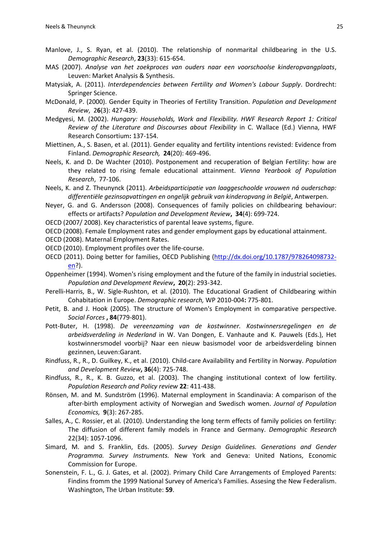- Manlove, J., S. Ryan, et al. (2010). The relationship of nonmarital childbearing in the U.S. *Demographic Research*, **23**(33): 615-654.
- MAS (2007). *Analyse van het zoekproces van ouders naar een voorschoolse kinderopvangplaats*, Leuven: Market Analysis & Synthesis.
- <span id="page-24-2"></span>Matysiak, A. (2011). *Interdependencies between Fertility and Women's Labour Supply*. Dordrecht: Springer Science.
- McDonald, P. (2000). Gender Equity in Theories of Fertility Transition. *Population and Development Review*, 2**6**(3): 427-439.
- Medgyesi, M. (2002). *Hungary: Households, Work and Flexibility. HWF Research Report 1: Critical Review of the Literature and Discourses about Flexibility* in C. Wallace (Ed.) Vienna, HWF Research Consortium**:** 137-154.
- Miettinen, A., S. Basen, et al. (2011). Gender equality and fertility intentions revisted: Evidence from Finland. *Demographic Research,* **24**(20): 469-496.
- Neels, K. and D. De Wachter (2010). Postponement and recuperation of Belgian Fertility: how are they related to rising female educational attainment. *Vienna Yearbook of Population Research*, 77-106.
- Neels, K. and Z. Theunynck (2011). *Arbeidsparticipatie van laaggeschoolde vrouwen ná ouderschap: differentiële gezinsopvattingen en ongelijk gebruik van kinderopvang in België*, Antwerpen.
- Neyer, G. and G. Andersson (2008). Consequences of family policies on childbearing behaviour: effects or artifacts? *Population and Development Review***, 34**(4): 699-724.
- OECD (2007/ 2008). Key characteristics of parental leave systems, figure.
- OECD (2008). Female Employment rates and gender employment gaps by educational attainment.
- OECD (2008). Maternal Employment Rates.
- OECD (2010). Employment profiles over the life-course.
- <span id="page-24-3"></span>OECD (2011). Doing better for families, OECD Publishing [\(http://dx.doi.org/10.1787/978264098732](http://dx.doi.org/10.1787/978264098732-en) [en?](http://dx.doi.org/10.1787/978264098732-en)).
- Oppenheimer (1994). Women's rising employment and the future of the family in industrial societies. *Population and Development Review***, 20**(2): 293-342.
- Perelli-Harris, B., W. Sigle-Rushton, et al. (2010). The Educational Gradient of Childbearing within Cohabitation in Europe. *Demographic research,* WP 2010-004**:** 775-801.
- Petit, B. and J. Hook (2005). The structure of Women's Employment in comparative perspective. *Social Forces* **, 84**(779-801).
- Pott-Buter, H. (1998). *De vereenzaming van de kostwinner. Kostwinnersregelingen en de arbeidsverdeling in Nederland* in W. Van Dongen, E. Vanhaute and K. Pauwels (Eds.), Het kostwinnersmodel voorbij? Naar een nieuw basismodel voor de arbeidsverdeling binnen gezinnen, Leuven:Garant.
- Rindfuss, R., R., D. Guilkey, K., et al. (2010). Child-care Availability and Fertility in Norway. *Population and Development Review***, 36**(4): 725-748.
- Rindfuss, R., R., K. B. Guzzo, et al. (2003). The changing institutional context of low fertility. *Population Research and Policy review* **22**: 411-438.
- Rönsen, M. and M. Sundström (1996). Maternal employment in Scandinavia: A comparison of the after-birth employment activity of Norwegian and Swedisch women. *Journal of Population Economics,* **9**(3): 267-285.
- Salles, A., C. Rossier, et al. (2010). Understanding the long term effects of family policies on fertility: The diffusion of different family models in France and Germany. *Demographic Research* 22(34): 1057-1096.
- <span id="page-24-0"></span>Simard, M. and S. Franklin, Eds. (2005). *Survey Design Guidelines. Generations and Gender Programma. Survey Instruments.* New York and Geneva: United Nations, Economic Commission for Europe.
- <span id="page-24-1"></span>Sonenstein, F. L., G. J. Gates, et al. (2002). Primary Child Care Arrangements of Employed Parents: Findins fromm the 1999 National Survey of America's Families. Assesing the New Federalism. Washington, The Urban Institute: **59**.